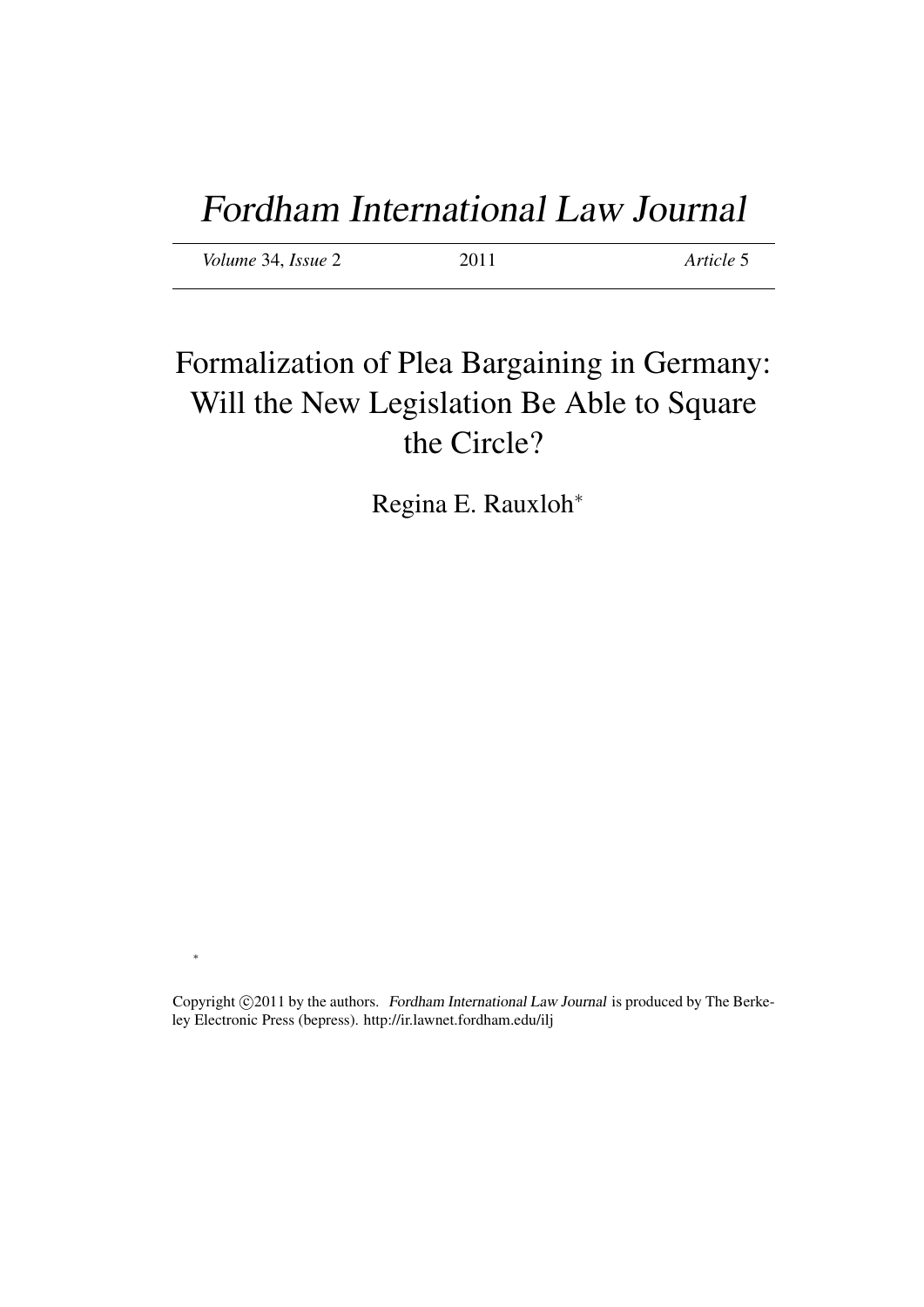# Fordham International Law Journal

*Volume* 34, *Issue* 2 2011 *Article* 5

∗

## Formalization of Plea Bargaining in Germany: Will the New Legislation Be Able to Square the Circle?

Regina E. Rauxloh<sup>∗</sup>

Copyright ©2011 by the authors. Fordham International Law Journal is produced by The Berkeley Electronic Press (bepress). http://ir.lawnet.fordham.edu/ilj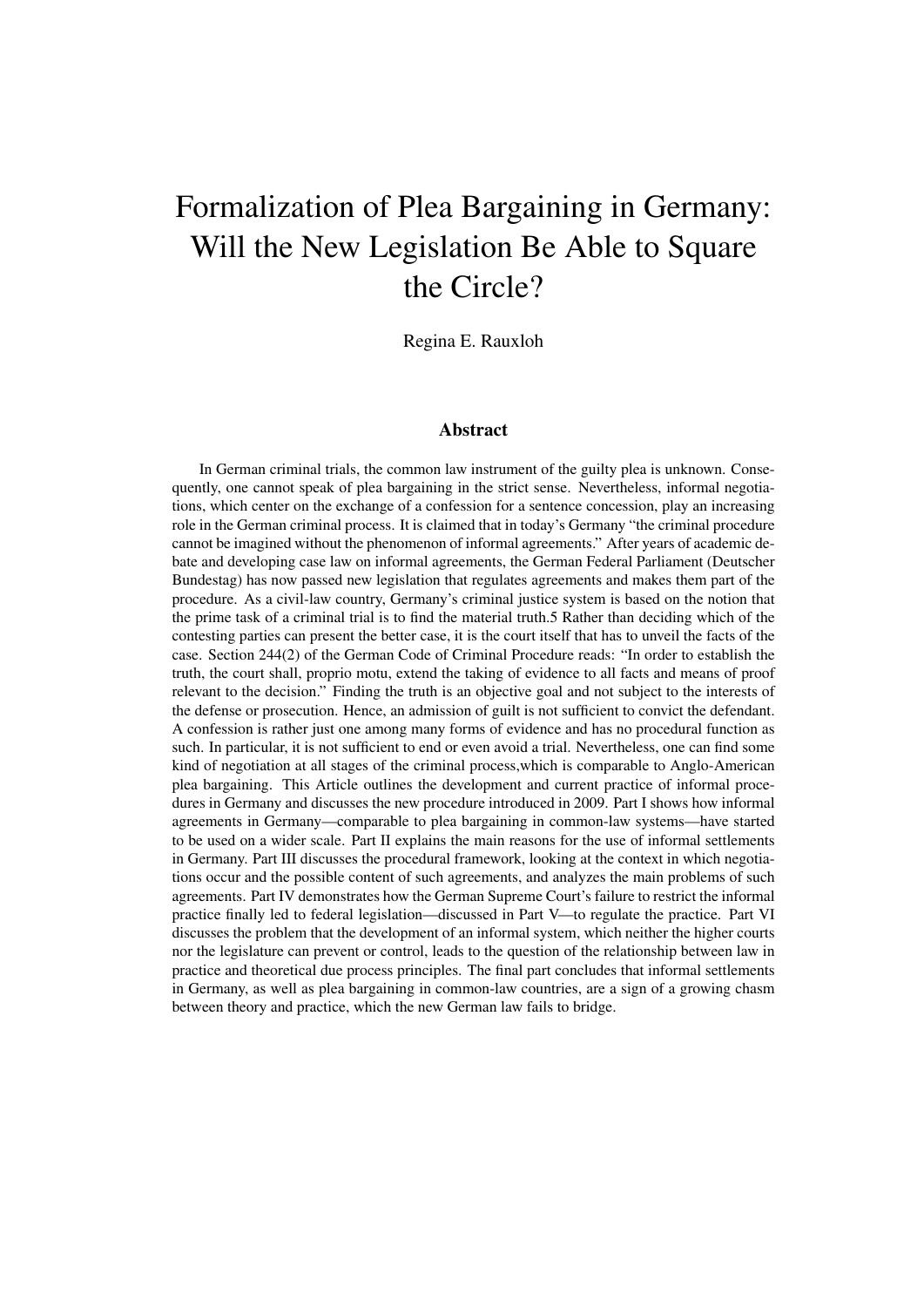## Formalization of Plea Bargaining in Germany: Will the New Legislation Be Able to Square the Circle?

Regina E. Rauxloh

#### Abstract

In German criminal trials, the common law instrument of the guilty plea is unknown. Consequently, one cannot speak of plea bargaining in the strict sense. Nevertheless, informal negotiations, which center on the exchange of a confession for a sentence concession, play an increasing role in the German criminal process. It is claimed that in today's Germany "the criminal procedure cannot be imagined without the phenomenon of informal agreements." After years of academic debate and developing case law on informal agreements, the German Federal Parliament (Deutscher Bundestag) has now passed new legislation that regulates agreements and makes them part of the procedure. As a civil-law country, Germany's criminal justice system is based on the notion that the prime task of a criminal trial is to find the material truth.5 Rather than deciding which of the contesting parties can present the better case, it is the court itself that has to unveil the facts of the case. Section 244(2) of the German Code of Criminal Procedure reads: "In order to establish the truth, the court shall, proprio motu, extend the taking of evidence to all facts and means of proof relevant to the decision." Finding the truth is an objective goal and not subject to the interests of the defense or prosecution. Hence, an admission of guilt is not sufficient to convict the defendant. A confession is rather just one among many forms of evidence and has no procedural function as such. In particular, it is not sufficient to end or even avoid a trial. Nevertheless, one can find some kind of negotiation at all stages of the criminal process,which is comparable to Anglo-American plea bargaining. This Article outlines the development and current practice of informal procedures in Germany and discusses the new procedure introduced in 2009. Part I shows how informal agreements in Germany—comparable to plea bargaining in common-law systems—have started to be used on a wider scale. Part II explains the main reasons for the use of informal settlements in Germany. Part III discusses the procedural framework, looking at the context in which negotiations occur and the possible content of such agreements, and analyzes the main problems of such agreements. Part IV demonstrates how the German Supreme Court's failure to restrict the informal practice finally led to federal legislation—discussed in Part V—to regulate the practice. Part VI discusses the problem that the development of an informal system, which neither the higher courts nor the legislature can prevent or control, leads to the question of the relationship between law in practice and theoretical due process principles. The final part concludes that informal settlements in Germany, as well as plea bargaining in common-law countries, are a sign of a growing chasm between theory and practice, which the new German law fails to bridge.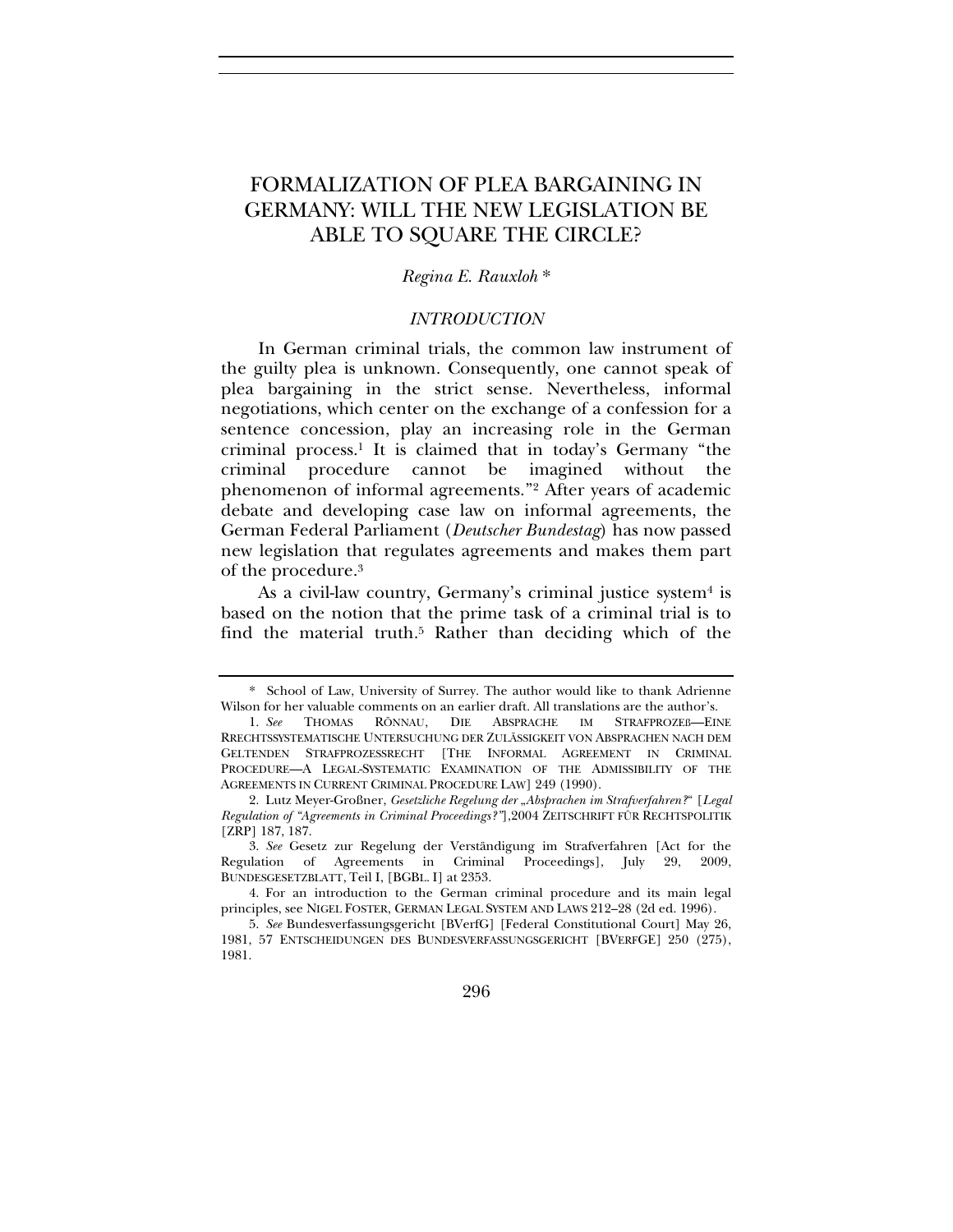### FORMALIZATION OF PLEA BARGAINING IN GERMANY: WILL THE NEW LEGISLATION BE ABLE TO SQUARE THE CIRCLE?

#### *Regina E. Rauxloh* \*

#### *INTRODUCTION*

In German criminal trials, the common law instrument of the guilty plea is unknown. Consequently, one cannot speak of plea bargaining in the strict sense. Nevertheless, informal negotiations, which center on the exchange of a confession for a sentence concession, play an increasing role in the German criminal process.1 It is claimed that in today's Germany "the criminal procedure cannot be imagined without the phenomenon of informal agreements."2 After years of academic debate and developing case law on informal agreements, the German Federal Parliament (*Deutscher Bundestag*) has now passed new legislation that regulates agreements and makes them part of the procedure.3

As a civil-law country, Germany's criminal justice system<sup>4</sup> is based on the notion that the prime task of a criminal trial is to find the material truth.5 Rather than deciding which of the

296

<sup>\*</sup> School of Law, University of Surrey. The author would like to thank Adrienne Wilson for her valuable comments on an earlier draft. All translations are the author's.

<sup>1.</sup> *See* THOMAS RÖNNAU, DIE ABSPRACHE IM STRAFPROZEß—EINE RRECHTSSYSTEMATISCHE UNTERSUCHUNG DER ZULÄSSIGKEIT VON ABSPRACHEN NACH DEM GELTENDEN STRAFPROZESSRECHT [THE INFORMAL AGREEMENT IN CRIMINAL PROCEDURE—A LEGAL-SYSTEMATIC EXAMINATION OF THE ADMISSIBILITY OF THE AGREEMENTS IN CURRENT CRIMINAL PROCEDURE LAW] 249 (1990).

<sup>2.</sup> Lutz Meyer-Großner, *Gesetzliche Regelung der "Absprachen im Strafverfahren?"* [*Legal Regulation of "Agreements in Criminal Proceedings?"*],2004 ZEITSCHRIFT FÜR RECHTSPOLITIK [ZRP] 187, 187.

<sup>3.</sup> *See* Gesetz zur Regelung der Verständigung im Strafverfahren [Act for the Regulation of Agreements in Criminal Proceedings], July 29, 2009, BUNDESGESETZBLATT, Teil I, [BGBL. I] at 2353.

<sup>4.</sup> For an introduction to the German criminal procedure and its main legal principles, see NIGEL FOSTER, GERMAN LEGAL SYSTEM AND LAWS 212–28 (2d ed. 1996).

<sup>5.</sup> *See* Bundesverfassungsgericht [BVerfG] [Federal Constitutional Court] May 26, 1981, 57 ENTSCHEIDUNGEN DES BUNDESVERFASSUNGSGERICHT [BVERFGE] 250 (275), 1981.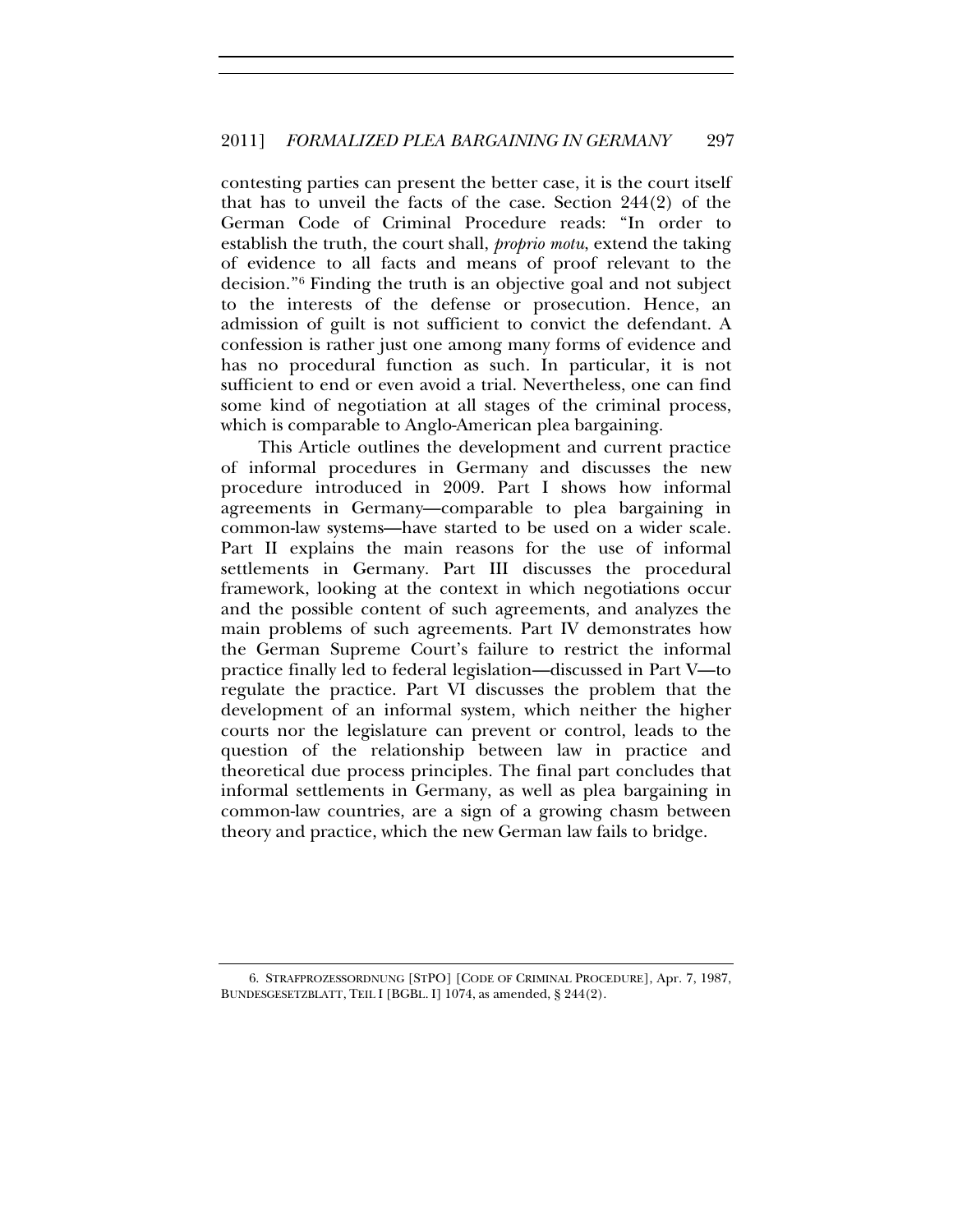contesting parties can present the better case, it is the court itself that has to unveil the facts of the case. Section 244(2) of the German Code of Criminal Procedure reads: "In order to establish the truth, the court shall, *proprio motu*, extend the taking of evidence to all facts and means of proof relevant to the decision."6 Finding the truth is an objective goal and not subject to the interests of the defense or prosecution. Hence, an admission of guilt is not sufficient to convict the defendant. A confession is rather just one among many forms of evidence and has no procedural function as such. In particular, it is not sufficient to end or even avoid a trial. Nevertheless, one can find some kind of negotiation at all stages of the criminal process, which is comparable to Anglo-American plea bargaining.

This Article outlines the development and current practice of informal procedures in Germany and discusses the new procedure introduced in 2009. Part I shows how informal agreements in Germany—comparable to plea bargaining in common-law systems—have started to be used on a wider scale. Part II explains the main reasons for the use of informal settlements in Germany. Part III discusses the procedural framework, looking at the context in which negotiations occur and the possible content of such agreements, and analyzes the main problems of such agreements. Part IV demonstrates how the German Supreme Court's failure to restrict the informal practice finally led to federal legislation—discussed in Part V—to regulate the practice. Part VI discusses the problem that the development of an informal system, which neither the higher courts nor the legislature can prevent or control, leads to the question of the relationship between law in practice and theoretical due process principles. The final part concludes that informal settlements in Germany, as well as plea bargaining in common-law countries, are a sign of a growing chasm between theory and practice, which the new German law fails to bridge.

<sup>6.</sup> STRAFPROZESSORDNUNG [STPO] [CODE OF CRIMINAL PROCEDURE], Apr. 7, 1987, BUNDESGESETZBLATT, TEIL I [BGBL. I] 1074, as amended, § 244(2).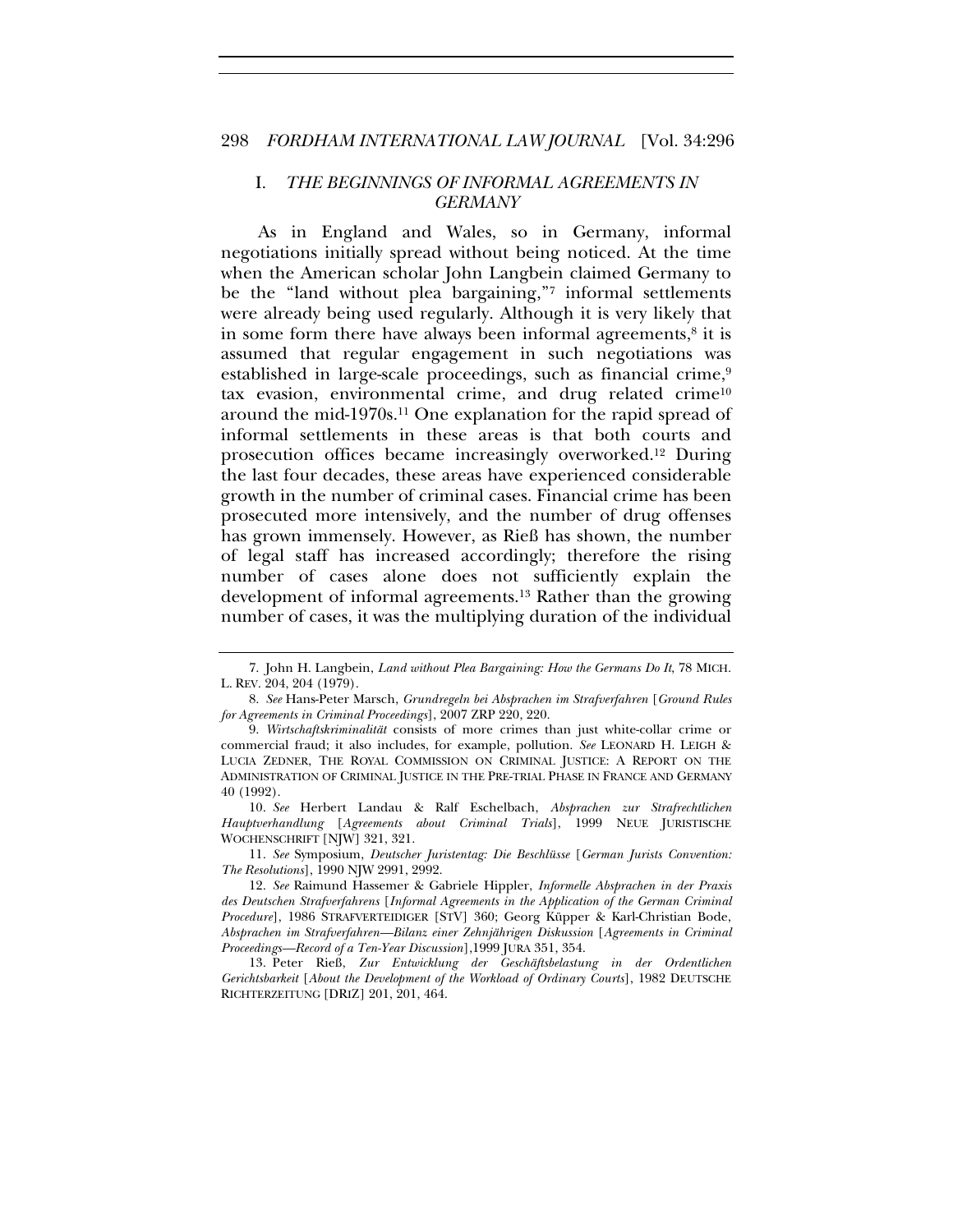#### I. *THE BEGINNINGS OF INFORMAL AGREEMENTS IN GERMANY*

As in England and Wales, so in Germany, informal negotiations initially spread without being noticed. At the time when the American scholar John Langbein claimed Germany to be the "land without plea bargaining,"7 informal settlements were already being used regularly. Although it is very likely that in some form there have always been informal agreements, $8$  it is assumed that regular engagement in such negotiations was established in large-scale proceedings, such as financial crime,<sup>9</sup> tax evasion, environmental crime, and drug related crime<sup>10</sup> around the mid-1970s.11 One explanation for the rapid spread of informal settlements in these areas is that both courts and prosecution offices became increasingly overworked.12 During the last four decades, these areas have experienced considerable growth in the number of criminal cases. Financial crime has been prosecuted more intensively, and the number of drug offenses has grown immensely. However, as Rieß has shown, the number of legal staff has increased accordingly; therefore the rising number of cases alone does not sufficiently explain the development of informal agreements.13 Rather than the growing number of cases, it was the multiplying duration of the individual

<sup>7.</sup> John H. Langbein, *Land without Plea Bargaining: How the Germans Do It*, 78 MICH. L. REV. 204, 204 (1979).

<sup>8.</sup> *See* Hans-Peter Marsch, *Grundregeln bei Absprachen im Strafverfahren* [*Ground Rules for Agreements in Criminal Proceedings*], 2007 ZRP 220, 220.

<sup>9.</sup> *Wirtschaftskriminalität* consists of more crimes than just white-collar crime or commercial fraud; it also includes, for example, pollution. *See* LEONARD H. LEIGH & LUCIA ZEDNER, THE ROYAL COMMISSION ON CRIMINAL JUSTICE: A REPORT ON THE ADMINISTRATION OF CRIMINAL JUSTICE IN THE PRE-TRIAL PHASE IN FRANCE AND GERMANY 40 (1992).

<sup>10.</sup> *See* Herbert Landau & Ralf Eschelbach, *Absprachen zur Strafrechtlichen Hauptverhandlung* [*Agreements about Criminal Trials*], 1999 NEUE JURISTISCHE WOCHENSCHRIFT [NJW] 321, 321.

<sup>11.</sup> *See* Symposium, *Deutscher Juristentag: Die Beschlüsse* [*German Jurists Convention: The Resolutions*], 1990 NJW 2991, 2992.

<sup>12.</sup> *See* Raimund Hassemer & Gabriele Hippler, *Informelle Absprachen in der Praxis des Deutschen Strafverfahrens* [*Informal Agreements in the Application of the German Criminal Procedure*], 1986 STRAFVERTEIDIGER [STV] 360; Georg Küpper & Karl-Christian Bode, *Absprachen im Strafverfahren—Bilanz einer Zehnjährigen Diskussion* [*Agreements in Criminal Proceedings—Record of a Ten-Year Discussion*],1999 JURA 351, 354.

<sup>13.</sup> Peter Rieß, *Zur Entwicklung der Geschäftsbelastung in der Ordentlichen Gerichtsbarkeit* [*About the Development of the Workload of Ordinary Courts*], 1982 DEUTSCHE RICHTERZEITUNG [DRIZ] 201, 201, 464.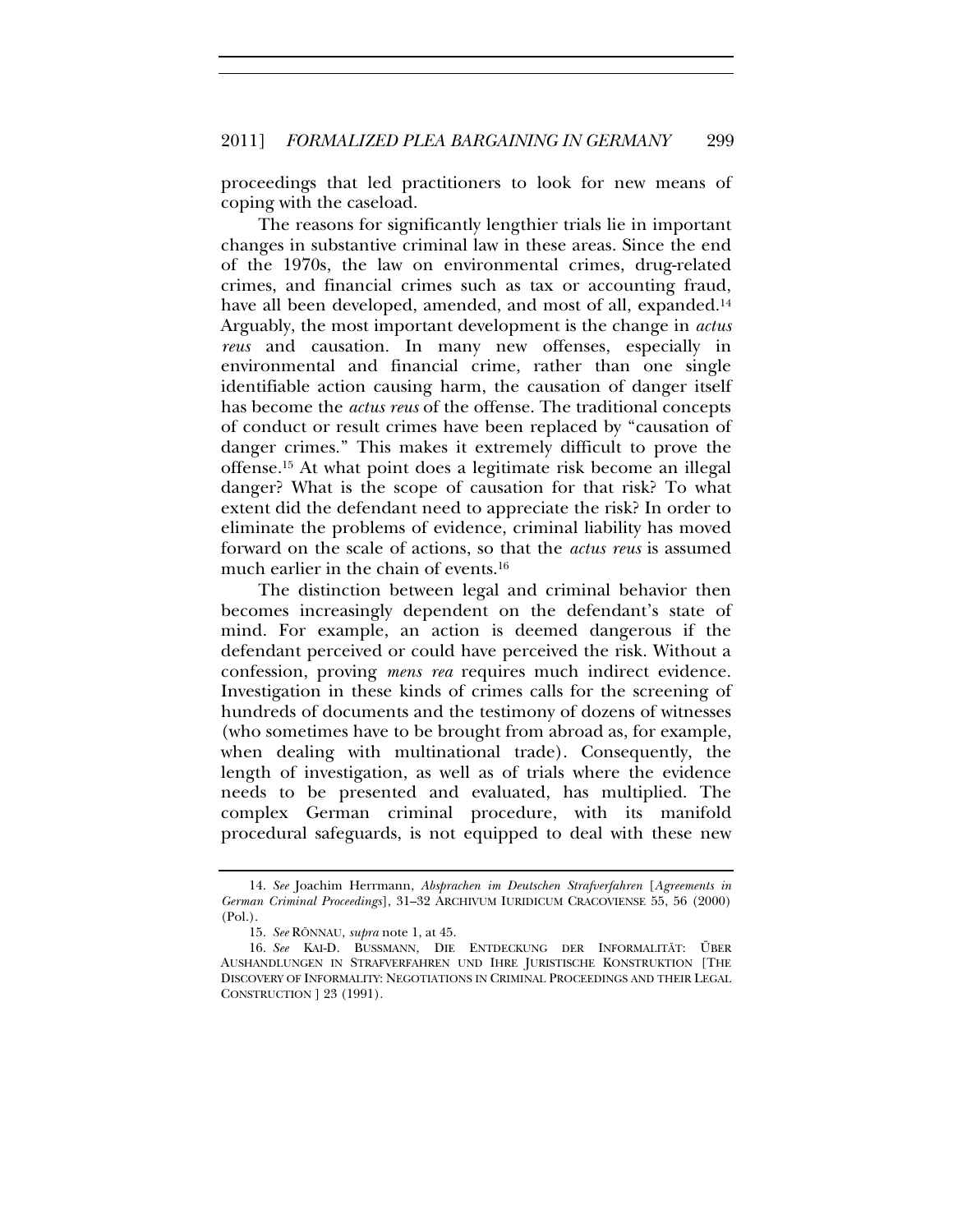proceedings that led practitioners to look for new means of coping with the caseload.

The reasons for significantly lengthier trials lie in important changes in substantive criminal law in these areas. Since the end of the 1970s, the law on environmental crimes, drug-related crimes, and financial crimes such as tax or accounting fraud, have all been developed, amended, and most of all, expanded.<sup>14</sup> Arguably, the most important development is the change in *actus reus* and causation. In many new offenses, especially in environmental and financial crime, rather than one single identifiable action causing harm, the causation of danger itself has become the *actus reus* of the offense. The traditional concepts of conduct or result crimes have been replaced by "causation of danger crimes." This makes it extremely difficult to prove the offense.15 At what point does a legitimate risk become an illegal danger? What is the scope of causation for that risk? To what extent did the defendant need to appreciate the risk? In order to eliminate the problems of evidence, criminal liability has moved forward on the scale of actions, so that the *actus reus* is assumed much earlier in the chain of events.<sup>16</sup>

The distinction between legal and criminal behavior then becomes increasingly dependent on the defendant's state of mind. For example, an action is deemed dangerous if the defendant perceived or could have perceived the risk. Without a confession, proving *mens rea* requires much indirect evidence. Investigation in these kinds of crimes calls for the screening of hundreds of documents and the testimony of dozens of witnesses (who sometimes have to be brought from abroad as, for example, when dealing with multinational trade). Consequently, the length of investigation, as well as of trials where the evidence needs to be presented and evaluated, has multiplied. The complex German criminal procedure, with its manifold procedural safeguards, is not equipped to deal with these new

<sup>14.</sup> *See* Joachim Herrmann, *Absprachen im Deutschen Strafverfahren* [*Agreements in German Criminal Proceedings*], 31–32 ARCHIVUM IURIDICUM CRACOVIENSE 55, 56 (2000) (Pol.).

<sup>15.</sup> *See* RÖNNAU, *supra* note 1, at 45.

<sup>16.</sup> *See* KAI-D. BUSSMANN, DIE ENTDECKUNG DER INFORMALITÄT: ÜBER AUSHANDLUNGEN IN STRAFVERFAHREN UND IHRE JURISTISCHE KONSTRUKTION [THE DISCOVERY OF INFORMALITY: NEGOTIATIONS IN CRIMINAL PROCEEDINGS AND THEIR LEGAL CONSTRUCTION ] 23 (1991).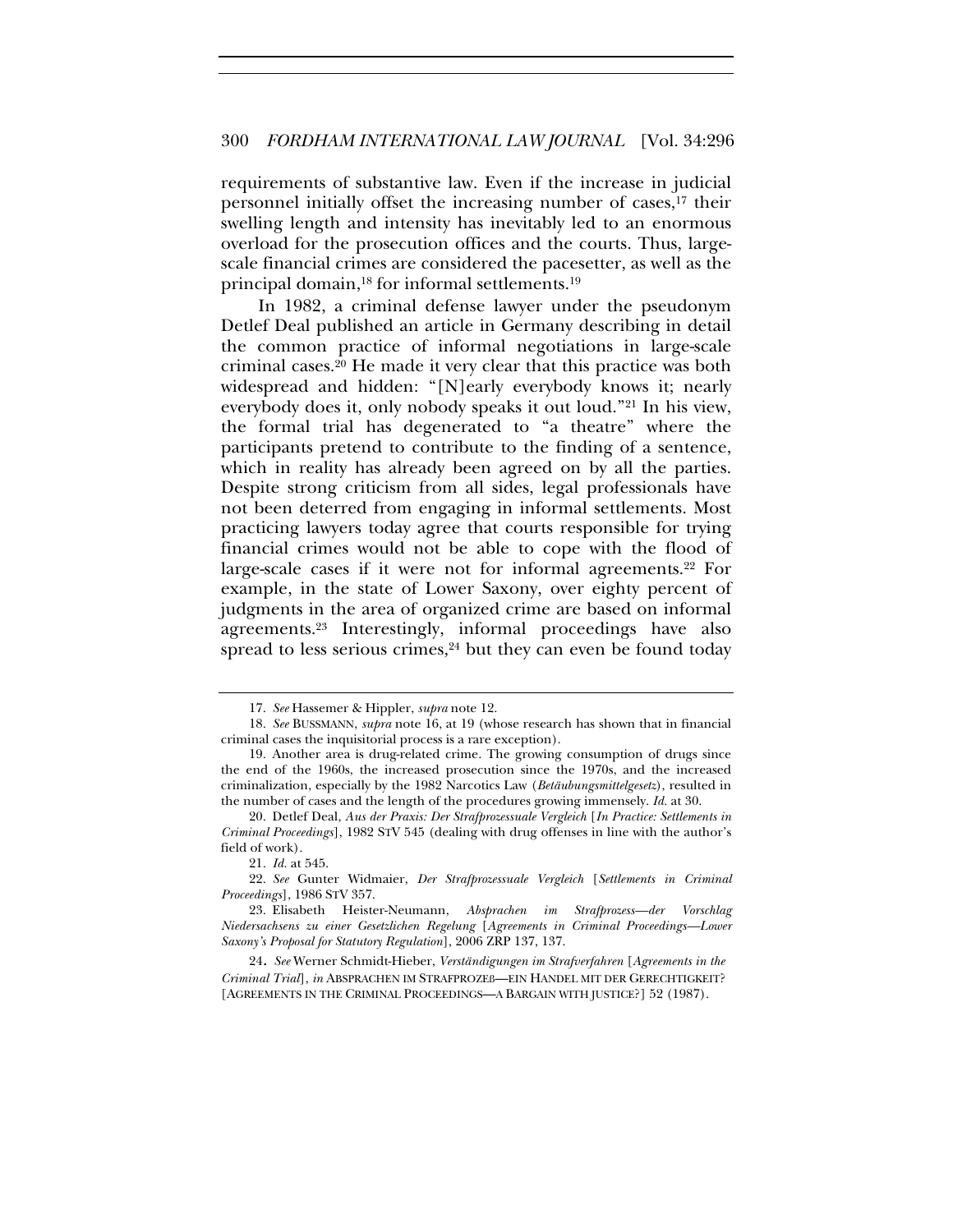requirements of substantive law. Even if the increase in judicial personnel initially offset the increasing number of cases,17 their swelling length and intensity has inevitably led to an enormous overload for the prosecution offices and the courts. Thus, largescale financial crimes are considered the pacesetter, as well as the principal domain,<sup>18</sup> for informal settlements.<sup>19</sup>

In 1982, a criminal defense lawyer under the pseudonym Detlef Deal published an article in Germany describing in detail the common practice of informal negotiations in large-scale criminal cases.20 He made it very clear that this practice was both widespread and hidden: "[N]early everybody knows it; nearly everybody does it, only nobody speaks it out loud."21 In his view, the formal trial has degenerated to "a theatre" where the participants pretend to contribute to the finding of a sentence, which in reality has already been agreed on by all the parties. Despite strong criticism from all sides, legal professionals have not been deterred from engaging in informal settlements. Most practicing lawyers today agree that courts responsible for trying financial crimes would not be able to cope with the flood of large-scale cases if it were not for informal agreements.22 For example, in the state of Lower Saxony, over eighty percent of judgments in the area of organized crime are based on informal agreements.23 Interestingly, informal proceedings have also spread to less serious crimes, $24$  but they can even be found today

<sup>17.</sup> *See* Hassemer & Hippler, *supra* note 12.

<sup>18.</sup> *See* BUSSMANN, *supra* note 16, at 19 (whose research has shown that in financial criminal cases the inquisitorial process is a rare exception).

<sup>19.</sup> Another area is drug-related crime. The growing consumption of drugs since the end of the 1960s, the increased prosecution since the 1970s, and the increased criminalization, especially by the 1982 Narcotics Law (*Betäubungsmittelgesetz*), resulted in the number of cases and the length of the procedures growing immensely. *Id.* at 30.

<sup>20.</sup> Detlef Deal, *Aus der Praxis: Der Strafprozessuale Vergleich* [*In Practice: Settlements in Criminal Proceedings*], 1982 STV 545 (dealing with drug offenses in line with the author's field of work).

<sup>21.</sup> *Id.* at 545.

<sup>22.</sup> *See* Gunter Widmaier, *Der Strafprozessuale Vergleich* [*Settlements in Criminal Proceedings*], 1986 STV 357.

<sup>23.</sup> Elisabeth Heister-Neumann, *Absprachen im Strafprozess—der Vorschlag Niedersachsens zu einer Gesetzlichen Regelung* [*Agreements in Criminal Proceedings—Lower Saxony's Proposal for Statutory Regulation*], 2006 ZRP 137, 137.

<sup>24.</sup> *See* Werner Schmidt-Hieber, *Verständigungen im Strafverfahren* [*Agreements in the Criminal Trial*], *in* ABSPRACHEN IM STRAFPROZEß—EIN HANDEL MIT DER GERECHTIGKEIT? [AGREEMENTS IN THE CRIMINAL PROCEEDINGS—A BARGAIN WITH JUSTICE?] 52 (1987).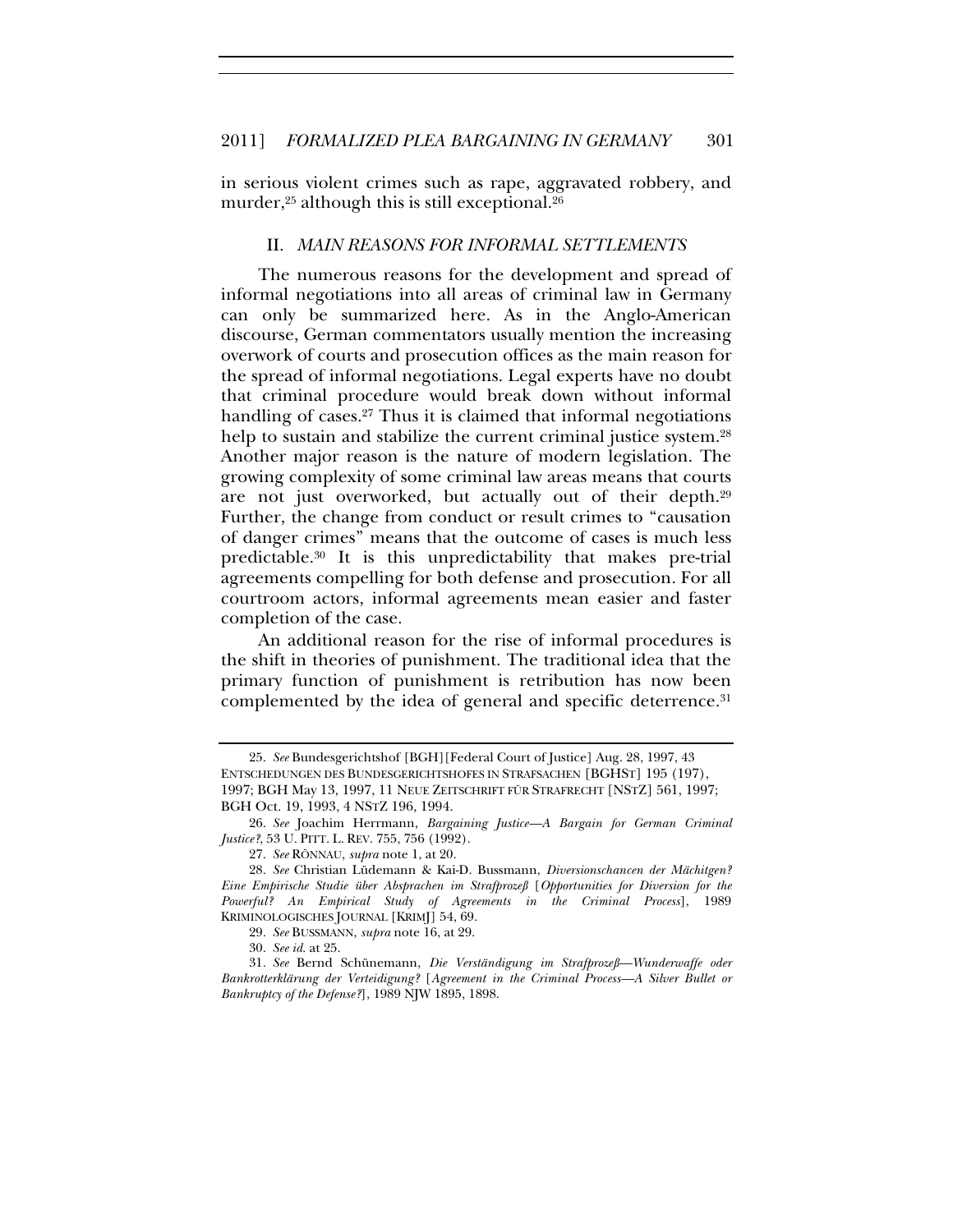in serious violent crimes such as rape, aggravated robbery, and murder, $25$  although this is still exceptional. $26$ 

#### II. *MAIN REASONS FOR INFORMAL SETTLEMENTS*

The numerous reasons for the development and spread of informal negotiations into all areas of criminal law in Germany can only be summarized here. As in the Anglo-American discourse, German commentators usually mention the increasing overwork of courts and prosecution offices as the main reason for the spread of informal negotiations. Legal experts have no doubt that criminal procedure would break down without informal handling of cases.<sup>27</sup> Thus it is claimed that informal negotiations help to sustain and stabilize the current criminal justice system.<sup>28</sup> Another major reason is the nature of modern legislation. The growing complexity of some criminal law areas means that courts are not just overworked, but actually out of their depth.29 Further, the change from conduct or result crimes to "causation of danger crimes" means that the outcome of cases is much less predictable.30 It is this unpredictability that makes pre-trial agreements compelling for both defense and prosecution. For all courtroom actors, informal agreements mean easier and faster completion of the case.

An additional reason for the rise of informal procedures is the shift in theories of punishment. The traditional idea that the primary function of punishment is retribution has now been complemented by the idea of general and specific deterrence.<sup>31</sup>

<sup>25.</sup> *See* Bundesgerichtshof [BGH][Federal Court of Justice] Aug. 28, 1997, 43 ENTSCHEDUNGEN DES BUNDESGERICHTSHOFES IN STRAFSACHEN [BGHST] 195 (197), 1997; BGH May 13, 1997, 11 NEUE ZEITSCHRIFT FÜR STRAFRECHT [NSTZ] 561, 1997; BGH Oct. 19, 1993, 4 NSTZ 196, 1994.

<sup>26.</sup> *See* Joachim Herrmann, *Bargaining Justice—A Bargain for German Criminal Justice?*, 53 U. PITT. L. REV. 755, 756 (1992).

<sup>27.</sup> *See* RÖNNAU, *supra* note 1, at 20.

<sup>28.</sup> *See* Christian Lüdemann & Kai-D. Bussmann, *Diversionschancen der Mächitgen? Eine Empirische Studie über Absprachen im Strafprozeß* [*Opportunities for Diversion for the Powerful? An Empirical Study of Agreements in the Criminal Process*], 1989 KRIMINOLOGISCHES JOURNAL [KRIMJ] 54, 69.

<sup>29.</sup> *See* BUSSMANN, *supra* note 16, at 29.

<sup>30.</sup> *See id.* at 25.

<sup>31.</sup> *See* Bernd Schünemann, *Die Verständigung im Strafprozeß—Wunderwaffe oder Bankrotterklärung der Verteidigung?* [*Agreement in the Criminal Process—A Silver Bullet or Bankruptcy of the Defense?*], 1989 NJW 1895, 1898.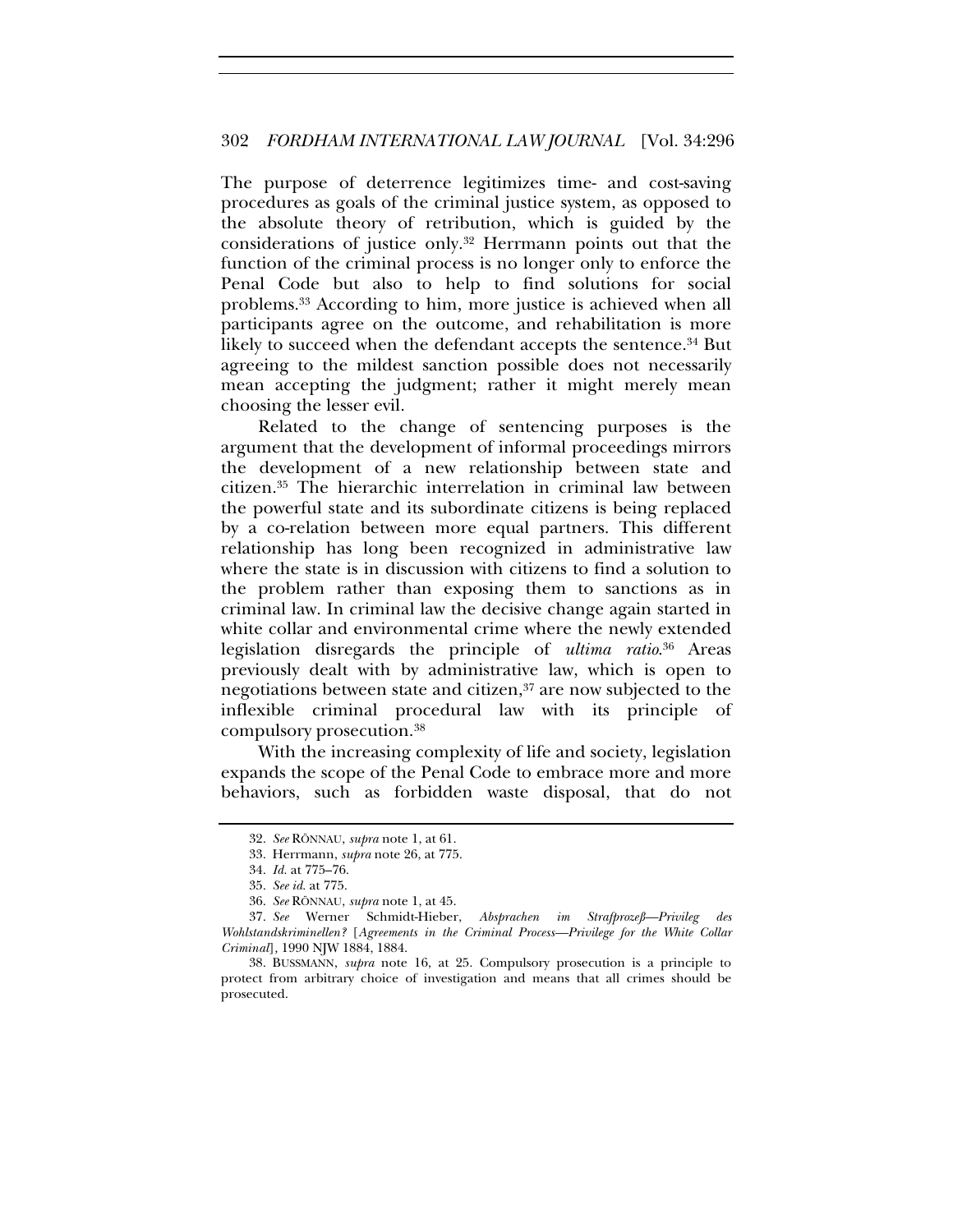The purpose of deterrence legitimizes time- and cost-saving procedures as goals of the criminal justice system, as opposed to the absolute theory of retribution, which is guided by the considerations of justice only.32 Herrmann points out that the function of the criminal process is no longer only to enforce the Penal Code but also to help to find solutions for social problems.33 According to him, more justice is achieved when all participants agree on the outcome, and rehabilitation is more likely to succeed when the defendant accepts the sentence.<sup>34</sup> But agreeing to the mildest sanction possible does not necessarily mean accepting the judgment; rather it might merely mean choosing the lesser evil.

Related to the change of sentencing purposes is the argument that the development of informal proceedings mirrors the development of a new relationship between state and citizen.35 The hierarchic interrelation in criminal law between the powerful state and its subordinate citizens is being replaced by a co-relation between more equal partners. This different relationship has long been recognized in administrative law where the state is in discussion with citizens to find a solution to the problem rather than exposing them to sanctions as in criminal law. In criminal law the decisive change again started in white collar and environmental crime where the newly extended legislation disregards the principle of *ultima ratio*. 36 Areas previously dealt with by administrative law, which is open to negotiations between state and citizen,<sup>37</sup> are now subjected to the inflexible criminal procedural law with its principle of compulsory prosecution.38

With the increasing complexity of life and society, legislation expands the scope of the Penal Code to embrace more and more behaviors, such as forbidden waste disposal, that do not

<sup>32.</sup> *See* RÖNNAU, *supra* note 1, at 61.

<sup>33.</sup> Herrmann, *supra* note 26, at 775.

<sup>34.</sup> *Id.* at 775–76.

<sup>35.</sup> *See id.* at 775.

<sup>36.</sup> *See* RÖNNAU, *supra* note 1, at 45.

<sup>37.</sup> *See* Werner Schmidt-Hieber, *Absprachen im Strafprozeß—Privileg des Wohlstandskriminellen?* [*Agreements in the Criminal Process—Privilege for the White Collar Criminal*]*,* 1990 NJW 1884, 1884.

<sup>38.</sup> BUSSMANN, *supra* note 16, at 25. Compulsory prosecution is a principle to protect from arbitrary choice of investigation and means that all crimes should be prosecuted.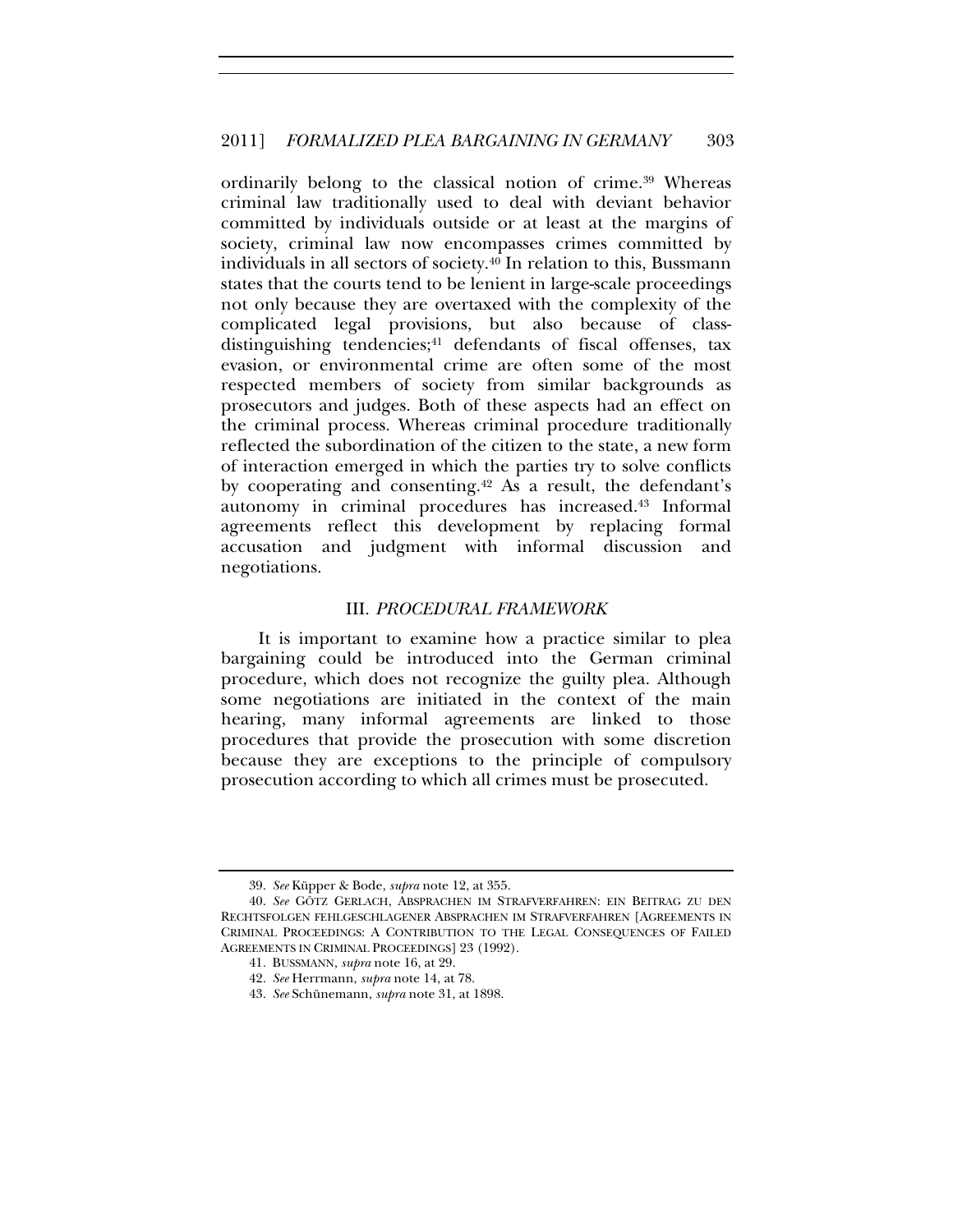ordinarily belong to the classical notion of crime.39 Whereas criminal law traditionally used to deal with deviant behavior committed by individuals outside or at least at the margins of society, criminal law now encompasses crimes committed by individuals in all sectors of society.40 In relation to this, Bussmann states that the courts tend to be lenient in large-scale proceedings not only because they are overtaxed with the complexity of the complicated legal provisions, but also because of classdistinguishing tendencies;<sup>41</sup> defendants of fiscal offenses, tax evasion, or environmental crime are often some of the most respected members of society from similar backgrounds as prosecutors and judges. Both of these aspects had an effect on the criminal process. Whereas criminal procedure traditionally reflected the subordination of the citizen to the state, a new form of interaction emerged in which the parties try to solve conflicts by cooperating and consenting.42 As a result, the defendant's autonomy in criminal procedures has increased.43 Informal agreements reflect this development by replacing formal accusation and judgment with informal discussion and negotiations.

#### III. *PROCEDURAL FRAMEWORK*

It is important to examine how a practice similar to plea bargaining could be introduced into the German criminal procedure, which does not recognize the guilty plea. Although some negotiations are initiated in the context of the main hearing, many informal agreements are linked to those procedures that provide the prosecution with some discretion because they are exceptions to the principle of compulsory prosecution according to which all crimes must be prosecuted.

<sup>39.</sup> *See* Küpper & Bode, *supra* note 12, at 355.

<sup>40.</sup> *See* GÖTZ GERLACH, ABSPRACHEN IM STRAFVERFAHREN: EIN BEITRAG ZU DEN RECHTSFOLGEN FEHLGESCHLAGENER ABSPRACHEN IM STRAFVERFAHREN [AGREEMENTS IN CRIMINAL PROCEEDINGS: A CONTRIBUTION TO THE LEGAL CONSEQUENCES OF FAILED AGREEMENTS IN CRIMINAL PROCEEDINGS] 23 (1992).

<sup>41.</sup> BUSSMANN, *supra* note 16, at 29.

<sup>42.</sup> *See* Herrmann, *supra* note 14, at 78.

<sup>43.</sup> *See* Schünemann, *supra* note 31, at 1898.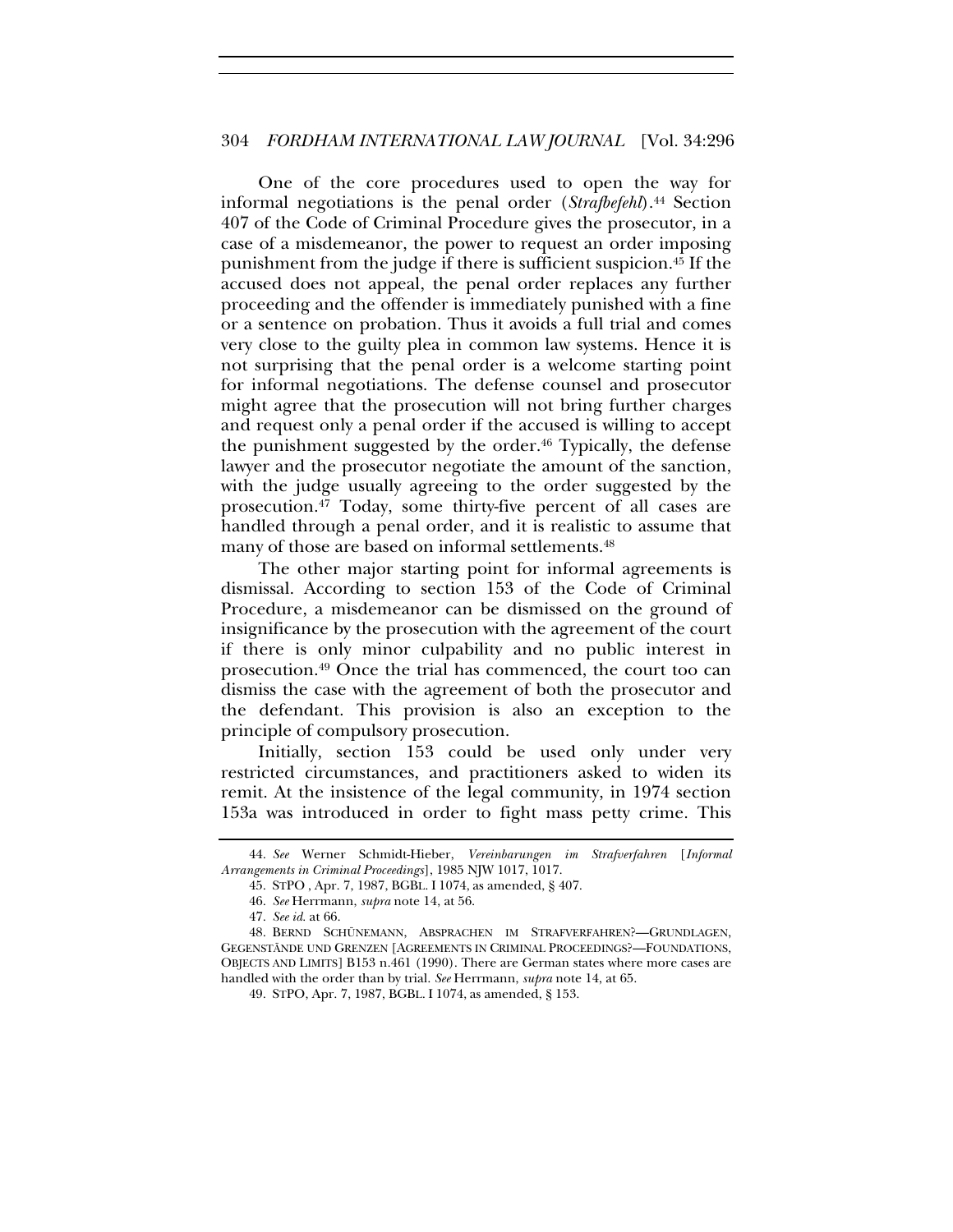One of the core procedures used to open the way for informal negotiations is the penal order (*Strafbefehl*).44 Section 407 of the Code of Criminal Procedure gives the prosecutor, in a case of a misdemeanor, the power to request an order imposing punishment from the judge if there is sufficient suspicion.45 If the accused does not appeal, the penal order replaces any further proceeding and the offender is immediately punished with a fine or a sentence on probation. Thus it avoids a full trial and comes very close to the guilty plea in common law systems. Hence it is not surprising that the penal order is a welcome starting point for informal negotiations. The defense counsel and prosecutor might agree that the prosecution will not bring further charges and request only a penal order if the accused is willing to accept the punishment suggested by the order.<sup>46</sup> Typically, the defense lawyer and the prosecutor negotiate the amount of the sanction, with the judge usually agreeing to the order suggested by the prosecution.47 Today, some thirty-five percent of all cases are handled through a penal order, and it is realistic to assume that many of those are based on informal settlements.<sup>48</sup>

The other major starting point for informal agreements is dismissal. According to section 153 of the Code of Criminal Procedure, a misdemeanor can be dismissed on the ground of insignificance by the prosecution with the agreement of the court if there is only minor culpability and no public interest in prosecution.49 Once the trial has commenced, the court too can dismiss the case with the agreement of both the prosecutor and the defendant. This provision is also an exception to the principle of compulsory prosecution.

Initially, section 153 could be used only under very restricted circumstances, and practitioners asked to widen its remit. At the insistence of the legal community, in 1974 section 153a was introduced in order to fight mass petty crime. This

<sup>44.</sup> *See* Werner Schmidt-Hieber, *Vereinbarungen im Strafverfahren* [*Informal Arrangements in Criminal Proceedings*], 1985 NJW 1017, 1017.

<sup>45.</sup> STPO , Apr. 7, 1987, BGBL. I 1074, as amended, § 407.

<sup>46.</sup> *See* Herrmann, *supra* note 14, at 56.

<sup>47.</sup> *See id.* at 66.

<sup>48.</sup> BERND SCHÜNEMANN, ABSPRACHEN IM STRAFVERFAHREN?—GRUNDLAGEN, GEGENSTÄNDE UND GRENZEN [AGREEMENTS IN CRIMINAL PROCEEDINGS?—FOUNDATIONS, OBJECTS AND LIMITS] B153 n.461 (1990). There are German states where more cases are handled with the order than by trial. *See* Herrmann, *supra* note 14, at 65.

<sup>49.</sup> STPO, Apr. 7, 1987, BGBL. I 1074, as amended, § 153.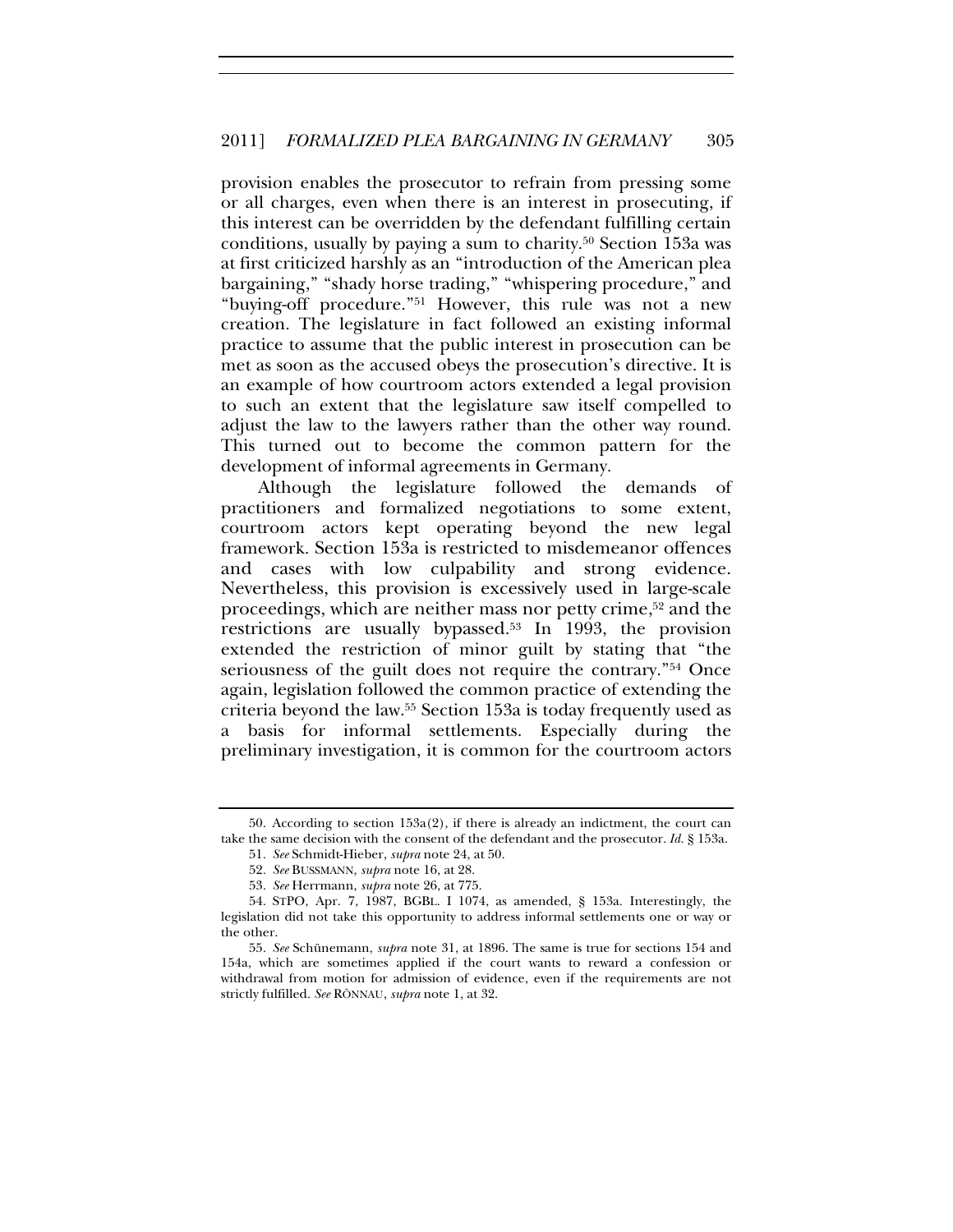provision enables the prosecutor to refrain from pressing some or all charges, even when there is an interest in prosecuting, if this interest can be overridden by the defendant fulfilling certain conditions, usually by paying a sum to charity.50 Section 153a was at first criticized harshly as an "introduction of the American plea bargaining," "shady horse trading," "whispering procedure," and "buying-off procedure."51 However, this rule was not a new creation. The legislature in fact followed an existing informal practice to assume that the public interest in prosecution can be met as soon as the accused obeys the prosecution's directive. It is an example of how courtroom actors extended a legal provision to such an extent that the legislature saw itself compelled to adjust the law to the lawyers rather than the other way round. This turned out to become the common pattern for the development of informal agreements in Germany.

Although the legislature followed the demands of practitioners and formalized negotiations to some extent, courtroom actors kept operating beyond the new legal framework. Section 153a is restricted to misdemeanor offences and cases with low culpability and strong evidence. Nevertheless, this provision is excessively used in large-scale proceedings, which are neither mass nor petty crime,52 and the restrictions are usually bypassed.53 In 1993, the provision extended the restriction of minor guilt by stating that "the seriousness of the guilt does not require the contrary."54 Once again, legislation followed the common practice of extending the criteria beyond the law.55 Section 153a is today frequently used as a basis for informal settlements. Especially during the preliminary investigation, it is common for the courtroom actors

<sup>50.</sup> According to section 153a(2), if there is already an indictment, the court can take the same decision with the consent of the defendant and the prosecutor. *Id.* § 153a.

<sup>51.</sup> *See* Schmidt-Hieber, *supra* note 24, at 50.

<sup>52.</sup> *See* BUSSMANN, *supra* note 16, at 28.

<sup>53.</sup> *See* Herrmann, *supra* note 26, at 775.

<sup>54.</sup> STPO, Apr. 7, 1987, BGBL. I 1074, as amended, § 153a. Interestingly, the legislation did not take this opportunity to address informal settlements one or way or the other.

<sup>55.</sup> *See* Schünemann, *supra* note 31, at 1896. The same is true for sections 154 and 154a, which are sometimes applied if the court wants to reward a confession or withdrawal from motion for admission of evidence, even if the requirements are not strictly fulfilled. *See* RÖNNAU, *supra* note 1, at 32.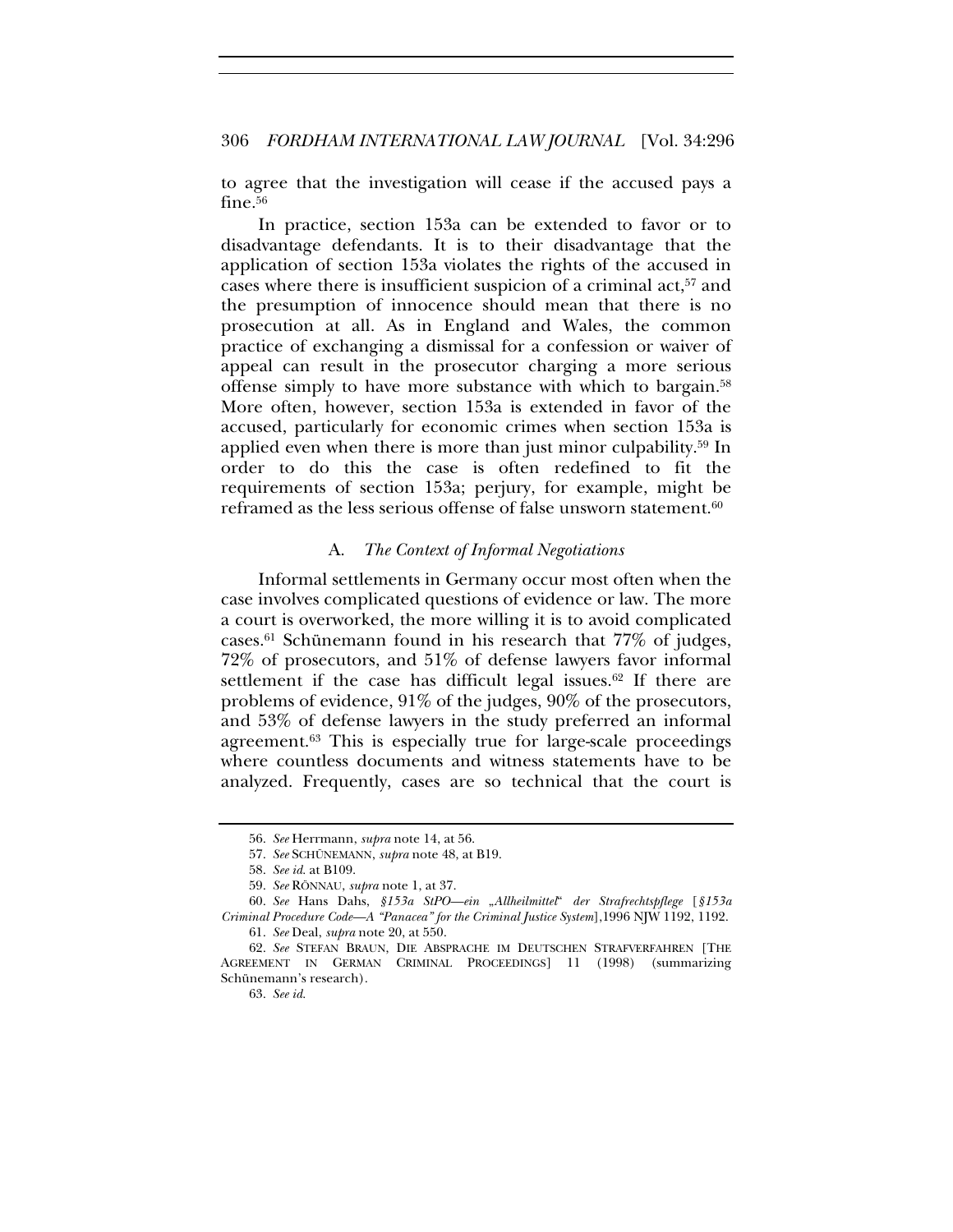to agree that the investigation will cease if the accused pays a fine.<sup>56</sup>

In practice, section 153a can be extended to favor or to disadvantage defendants. It is to their disadvantage that the application of section 153a violates the rights of the accused in cases where there is insufficient suspicion of a criminal act,<sup>57</sup> and the presumption of innocence should mean that there is no prosecution at all. As in England and Wales, the common practice of exchanging a dismissal for a confession or waiver of appeal can result in the prosecutor charging a more serious offense simply to have more substance with which to bargain.58 More often, however, section 153a is extended in favor of the accused, particularly for economic crimes when section 153a is applied even when there is more than just minor culpability.59 In order to do this the case is often redefined to fit the requirements of section 153a; perjury, for example, might be reframed as the less serious offense of false unsworn statement.<sup>60</sup>

#### A. *The Context of Informal Negotiations*

Informal settlements in Germany occur most often when the case involves complicated questions of evidence or law. The more a court is overworked, the more willing it is to avoid complicated cases.61 Schünemann found in his research that 77% of judges, 72% of prosecutors, and 51% of defense lawyers favor informal settlement if the case has difficult legal issues.<sup>62</sup> If there are problems of evidence, 91% of the judges, 90% of the prosecutors, and 53% of defense lawyers in the study preferred an informal agreement.63 This is especially true for large-scale proceedings where countless documents and witness statements have to be analyzed. Frequently, cases are so technical that the court is

<sup>56.</sup> *See* Herrmann, *supra* note 14, at 56.

<sup>57.</sup> *See* SCHÜNEMANN, *supra* note 48, at B19.

<sup>58.</sup> *See id.* at B109.

<sup>59.</sup> *See* RÖNNAU, *supra* note 1, at 37.

<sup>60.</sup> *See* Hans Dahs, *§153a StPO—ein* "*Allheilmittel*" *der Strafrechtspflege* [*§153a Criminal Procedure Code—A "Panacea" for the Criminal Justice System*],1996 NJW 1192, 1192.

<sup>61.</sup> *See* Deal, *supra* note 20, at 550.

<sup>62.</sup> *See* STEFAN BRAUN, DIE ABSPRACHE IM DEUTSCHEN STRAFVERFAHREN [THE AGREEMENT IN GERMAN CRIMINAL PROCEEDINGS] 11 (1998) (summarizing Schünemann's research).

<sup>63.</sup> *See id.*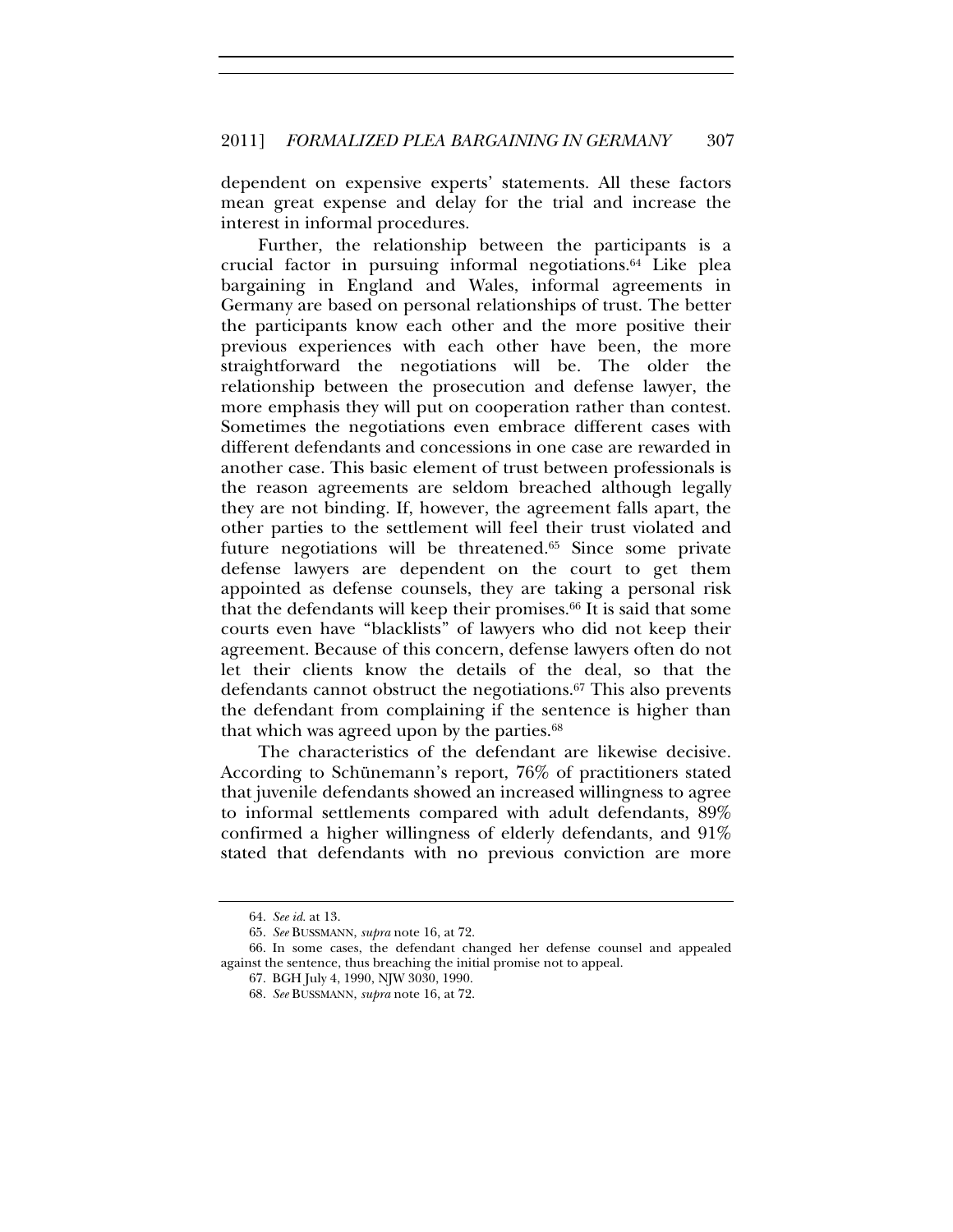dependent on expensive experts' statements. All these factors mean great expense and delay for the trial and increase the interest in informal procedures.

Further, the relationship between the participants is a crucial factor in pursuing informal negotiations.64 Like plea bargaining in England and Wales, informal agreements in Germany are based on personal relationships of trust. The better the participants know each other and the more positive their previous experiences with each other have been, the more straightforward the negotiations will be. The older the relationship between the prosecution and defense lawyer, the more emphasis they will put on cooperation rather than contest. Sometimes the negotiations even embrace different cases with different defendants and concessions in one case are rewarded in another case. This basic element of trust between professionals is the reason agreements are seldom breached although legally they are not binding. If, however, the agreement falls apart, the other parties to the settlement will feel their trust violated and future negotiations will be threatened.65 Since some private defense lawyers are dependent on the court to get them appointed as defense counsels, they are taking a personal risk that the defendants will keep their promises.66 It is said that some courts even have "blacklists" of lawyers who did not keep their agreement. Because of this concern, defense lawyers often do not let their clients know the details of the deal, so that the defendants cannot obstruct the negotiations.67 This also prevents the defendant from complaining if the sentence is higher than that which was agreed upon by the parties.<sup>68</sup>

The characteristics of the defendant are likewise decisive. According to Schünemann's report, 76% of practitioners stated that juvenile defendants showed an increased willingness to agree to informal settlements compared with adult defendants, 89% confirmed a higher willingness of elderly defendants, and 91% stated that defendants with no previous conviction are more

<sup>64.</sup> *See id.* at 13.

<sup>65.</sup> *See* BUSSMANN, *supra* note 16, at 72.

<sup>66.</sup> In some cases, the defendant changed her defense counsel and appealed against the sentence, thus breaching the initial promise not to appeal.

<sup>67.</sup> BGH July 4, 1990, NJW 3030, 1990.

<sup>68.</sup> *See* BUSSMANN, *supra* note 16, at 72.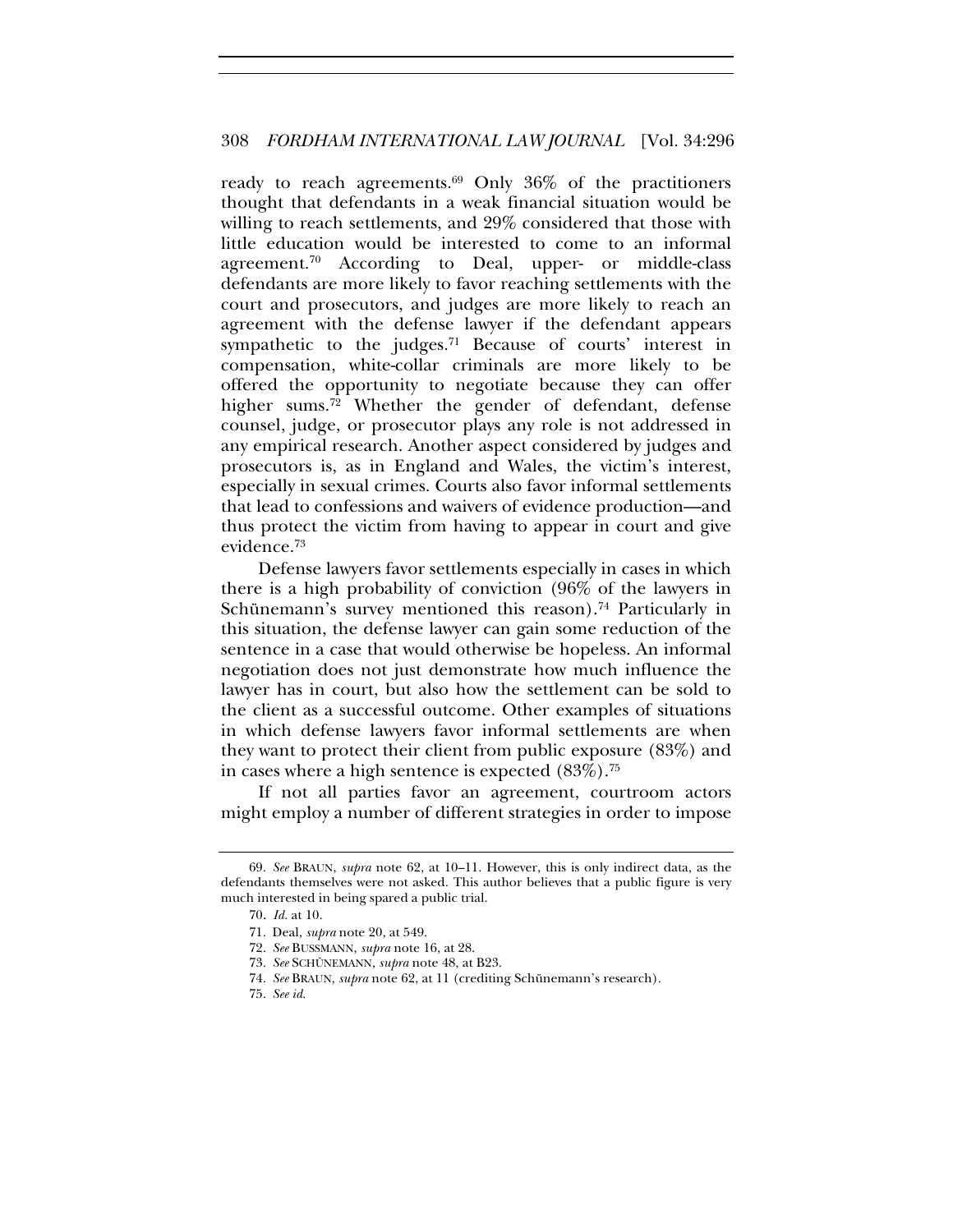ready to reach agreements.<sup>69</sup> Only  $36\%$  of the practitioners thought that defendants in a weak financial situation would be willing to reach settlements, and 29% considered that those with little education would be interested to come to an informal agreement.<sup>70</sup> According to Deal, upper- or middle-class defendants are more likely to favor reaching settlements with the court and prosecutors, and judges are more likely to reach an agreement with the defense lawyer if the defendant appears sympathetic to the judges.<sup>71</sup> Because of courts' interest in compensation, white-collar criminals are more likely to be offered the opportunity to negotiate because they can offer higher sums. $72$  Whether the gender of defendant, defense counsel, judge, or prosecutor plays any role is not addressed in any empirical research. Another aspect considered by judges and prosecutors is, as in England and Wales, the victim's interest, especially in sexual crimes. Courts also favor informal settlements that lead to confessions and waivers of evidence production—and thus protect the victim from having to appear in court and give evidence.73

Defense lawyers favor settlements especially in cases in which there is a high probability of conviction (96% of the lawyers in Schünemann's survey mentioned this reason).<sup>74</sup> Particularly in this situation, the defense lawyer can gain some reduction of the sentence in a case that would otherwise be hopeless. An informal negotiation does not just demonstrate how much influence the lawyer has in court, but also how the settlement can be sold to the client as a successful outcome. Other examples of situations in which defense lawyers favor informal settlements are when they want to protect their client from public exposure (83%) and in cases where a high sentence is expected  $(83\%)$ .<sup>75</sup>

If not all parties favor an agreement, courtroom actors might employ a number of different strategies in order to impose

<sup>69.</sup> *See* BRAUN, *supra* note 62, at 10–11. However, this is only indirect data, as the defendants themselves were not asked. This author believes that a public figure is very much interested in being spared a public trial.

<sup>70.</sup> *Id.* at 10.

<sup>71.</sup> Deal, *supra* note 20, at 549.

<sup>72.</sup> *See* BUSSMANN, *supra* note 16, at 28.

<sup>73.</sup> *See* SCHÜNEMANN, *supra* note 48, at B23.

<sup>74.</sup> *See* BRAUN, *supra* note 62, at 11 (crediting Schünemann's research).

<sup>75.</sup> *See id.*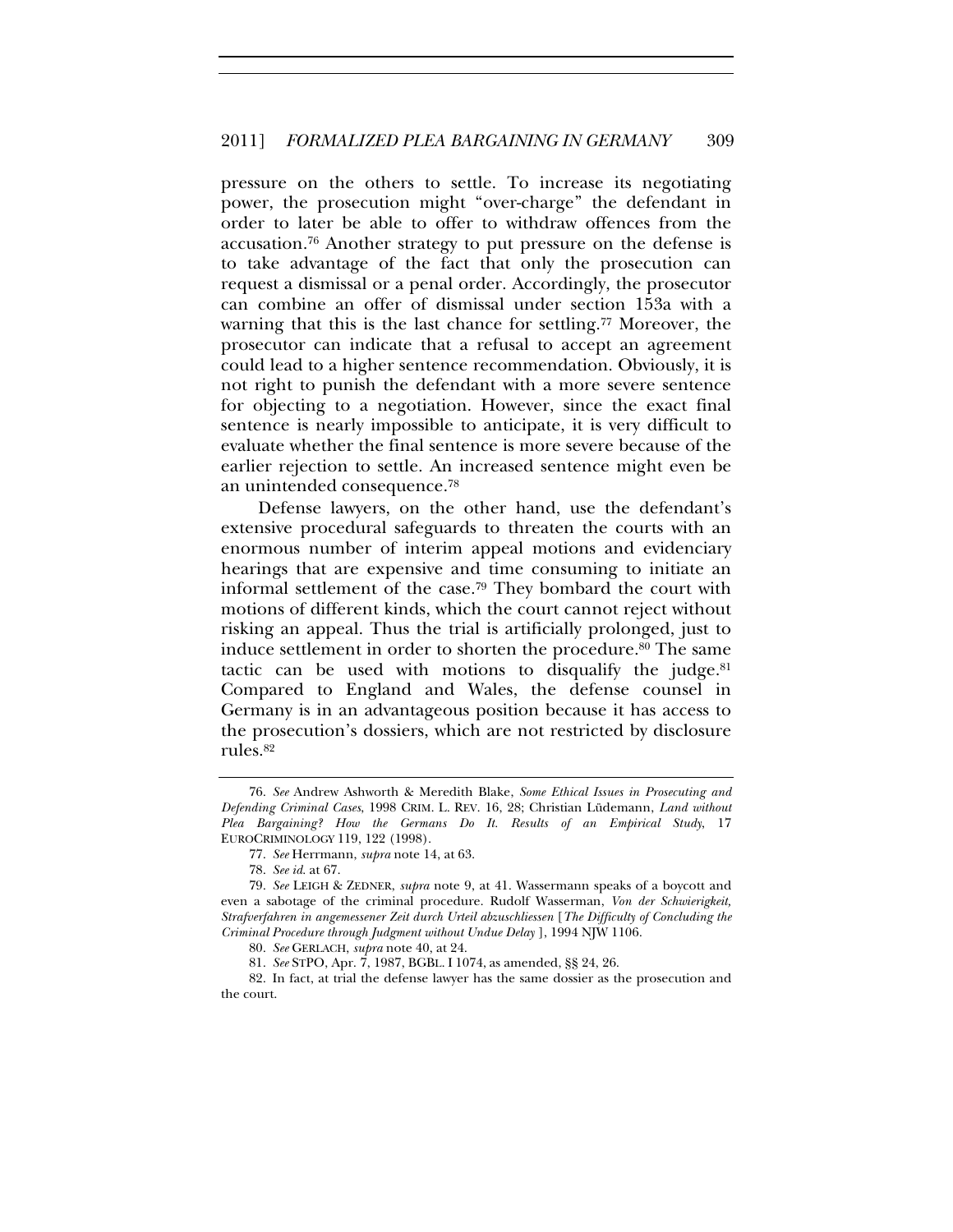pressure on the others to settle. To increase its negotiating power, the prosecution might "over-charge" the defendant in order to later be able to offer to withdraw offences from the accusation.76 Another strategy to put pressure on the defense is to take advantage of the fact that only the prosecution can request a dismissal or a penal order. Accordingly, the prosecutor can combine an offer of dismissal under section 153a with a warning that this is the last chance for settling.<sup>77</sup> Moreover, the prosecutor can indicate that a refusal to accept an agreement could lead to a higher sentence recommendation. Obviously, it is not right to punish the defendant with a more severe sentence for objecting to a negotiation. However, since the exact final sentence is nearly impossible to anticipate, it is very difficult to evaluate whether the final sentence is more severe because of the earlier rejection to settle. An increased sentence might even be an unintended consequence.78

Defense lawyers, on the other hand, use the defendant's extensive procedural safeguards to threaten the courts with an enormous number of interim appeal motions and evidenciary hearings that are expensive and time consuming to initiate an informal settlement of the case.79 They bombard the court with motions of different kinds, which the court cannot reject without risking an appeal. Thus the trial is artificially prolonged, just to induce settlement in order to shorten the procedure.<sup>80</sup> The same tactic can be used with motions to disqualify the judge. $81$ Compared to England and Wales, the defense counsel in Germany is in an advantageous position because it has access to the prosecution's dossiers, which are not restricted by disclosure rules.82

<sup>76.</sup> *See* Andrew Ashworth & Meredith Blake, *Some Ethical Issues in Prosecuting and Defending Criminal Cases*, 1998 CRIM. L. REV. 16, 28; Christian Lüdemann, *Land without Plea Bargaining? How the Germans Do It. Results of an Empirical Study*, 17 EUROCRIMINOLOGY 119, 122 (1998).

<sup>77.</sup> *See* Herrmann, *supra* note 14, at 63.

<sup>78.</sup> *See id.* at 67.

<sup>79.</sup> *See* LEIGH & ZEDNER, *supra* note 9, at 41. Wassermann speaks of a boycott and even a sabotage of the criminal procedure. Rudolf Wasserman, *Von der Schwierigkeit, Strafverfahren in angemessener Zeit durch Urteil abzuschliessen* [*The Difficulty of Concluding the Criminal Procedure through Judgment without Undue Delay* ], 1994 NJW 1106.

<sup>80.</sup> *See* GERLACH, *supra* note 40, at 24.

<sup>81.</sup> *See* STPO, Apr. 7, 1987, BGBL. I 1074, as amended, §§ 24, 26.

<sup>82.</sup> In fact, at trial the defense lawyer has the same dossier as the prosecution and the court.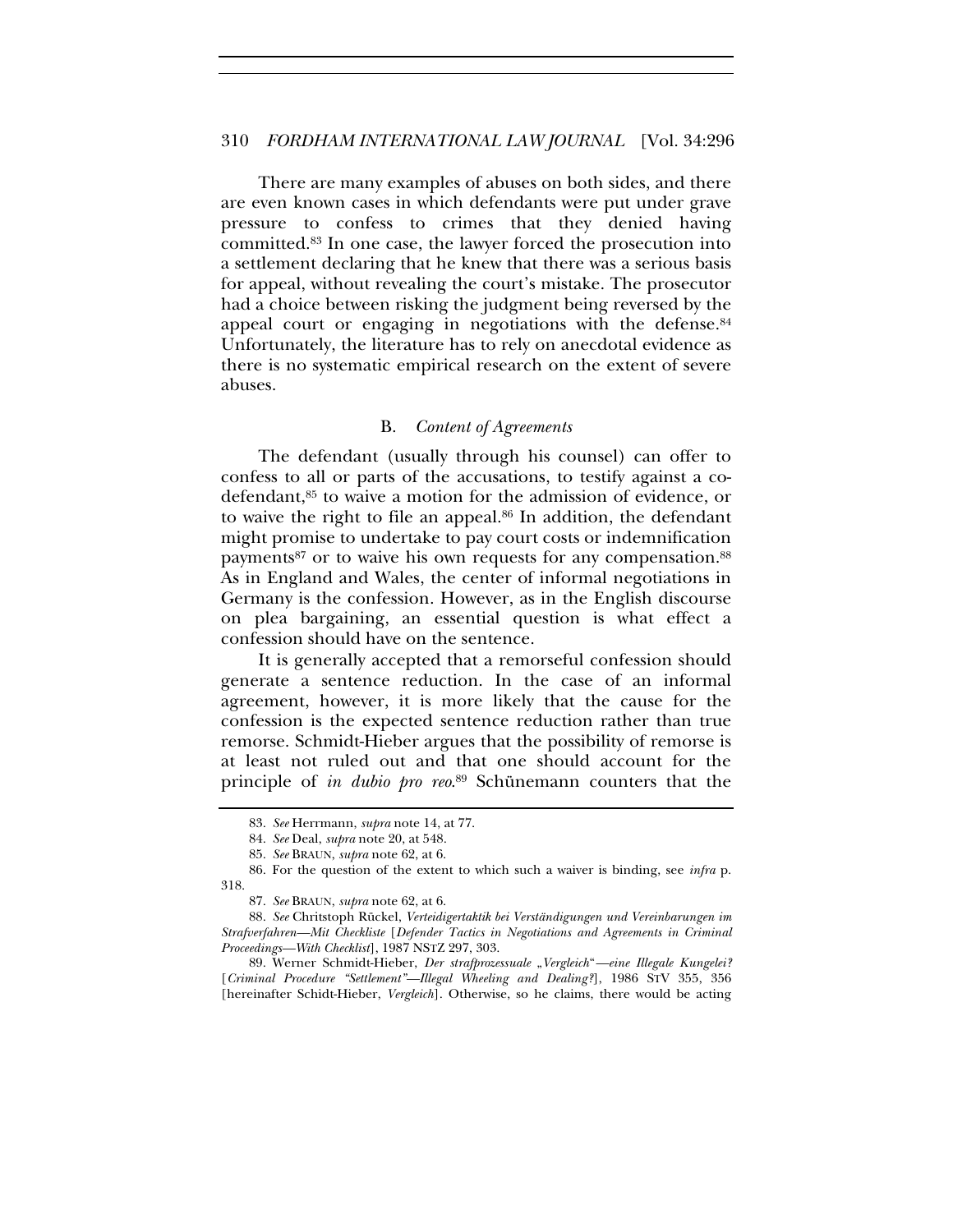There are many examples of abuses on both sides, and there are even known cases in which defendants were put under grave pressure to confess to crimes that they denied having committed.83 In one case, the lawyer forced the prosecution into a settlement declaring that he knew that there was a serious basis for appeal, without revealing the court's mistake. The prosecutor had a choice between risking the judgment being reversed by the appeal court or engaging in negotiations with the defense.<sup>84</sup> Unfortunately, the literature has to rely on anecdotal evidence as there is no systematic empirical research on the extent of severe abuses.

#### B. *Content of Agreements*

The defendant (usually through his counsel) can offer to confess to all or parts of the accusations, to testify against a codefendant,85 to waive a motion for the admission of evidence, or to waive the right to file an appeal.86 In addition, the defendant might promise to undertake to pay court costs or indemnification payments<sup>87</sup> or to waive his own requests for any compensation.<sup>88</sup> As in England and Wales, the center of informal negotiations in Germany is the confession. However, as in the English discourse on plea bargaining, an essential question is what effect a confession should have on the sentence.

It is generally accepted that a remorseful confession should generate a sentence reduction. In the case of an informal agreement, however, it is more likely that the cause for the confession is the expected sentence reduction rather than true remorse. Schmidt-Hieber argues that the possibility of remorse is at least not ruled out and that one should account for the principle of *in dubio pro reo*. 89 Schünemann counters that the

89. Werner Schmidt-Hieber, *Der strafprozessuale* "Vergleich"—eine Illegale Kungelei? [*Criminal Procedure "Settlement"—Illegal Wheeling and Dealing?*], 1986 STV 355, 356 [hereinafter Schidt-Hieber, *Vergleich*]. Otherwise, so he claims, there would be acting

<sup>83.</sup> *See* Herrmann, *supra* note 14, at 77.

<sup>84.</sup> *See* Deal, *supra* note 20, at 548.

<sup>85.</sup> *See* BRAUN, *supra* note 62, at 6.

<sup>86.</sup> For the question of the extent to which such a waiver is binding, see *infra* p. 318.

<sup>87.</sup> *See* BRAUN, *supra* note 62, at 6.

<sup>88.</sup> *See* Chritstoph Rückel, *Verteidigertaktik bei Verständigungen und Vereinbarungen im Strafverfahren—Mit Checkliste* [*Defender Tactics in Negotiations and Agreements in Criminal Proceedings—With Checklist*], 1987 NSTZ 297, 303.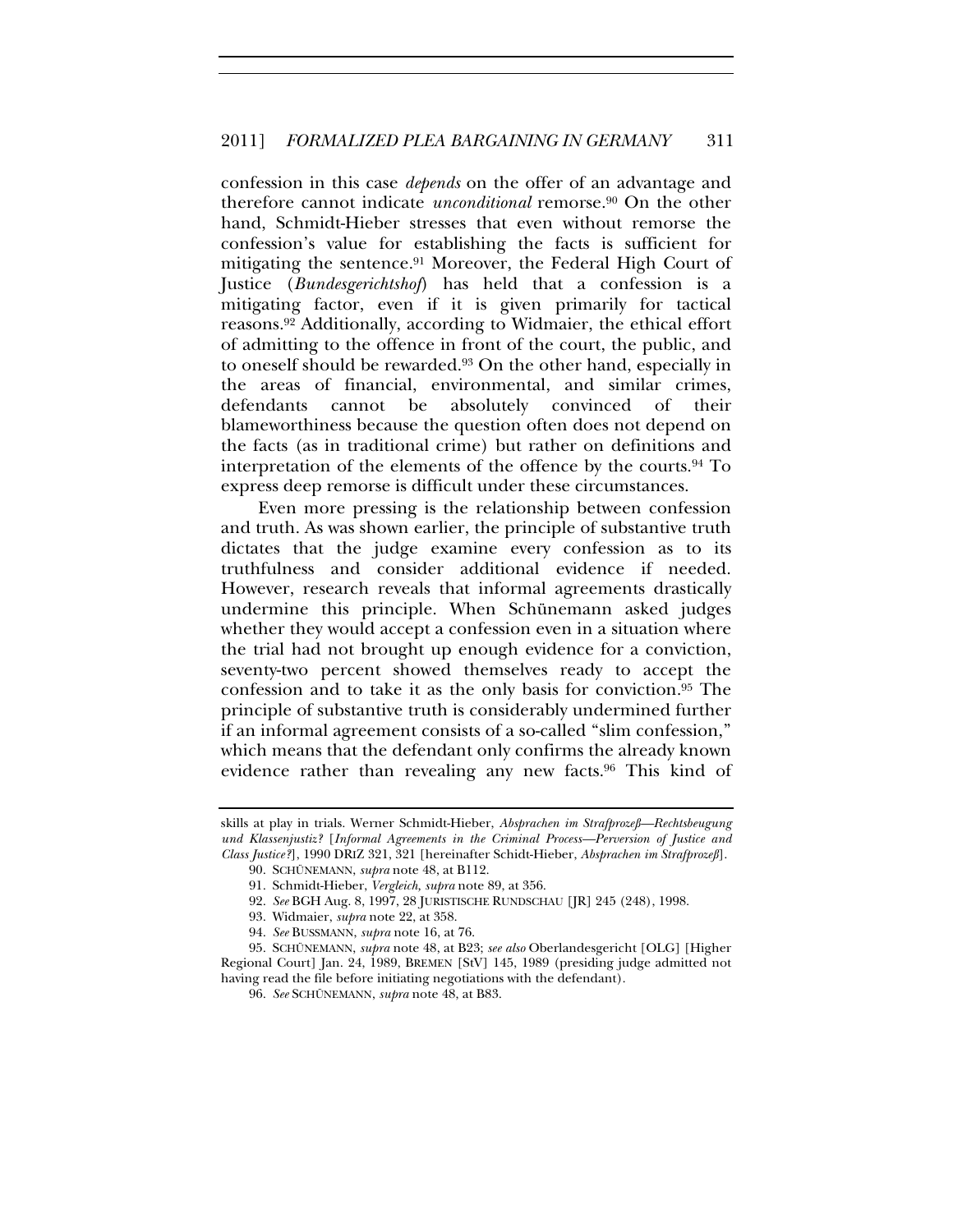confession in this case *depends* on the offer of an advantage and therefore cannot indicate *unconditional* remorse.90 On the other hand, Schmidt-Hieber stresses that even without remorse the confession's value for establishing the facts is sufficient for mitigating the sentence.91 Moreover, the Federal High Court of Justice (*Bundesgerichtshof*) has held that a confession is a mitigating factor, even if it is given primarily for tactical reasons.92 Additionally, according to Widmaier, the ethical effort of admitting to the offence in front of the court, the public, and to oneself should be rewarded.93 On the other hand, especially in the areas of financial, environmental, and similar crimes, defendants cannot be absolutely convinced of their blameworthiness because the question often does not depend on the facts (as in traditional crime) but rather on definitions and interpretation of the elements of the offence by the courts.94 To express deep remorse is difficult under these circumstances.

Even more pressing is the relationship between confession and truth. As was shown earlier, the principle of substantive truth dictates that the judge examine every confession as to its truthfulness and consider additional evidence if needed. However, research reveals that informal agreements drastically undermine this principle. When Schünemann asked judges whether they would accept a confession even in a situation where the trial had not brought up enough evidence for a conviction, seventy-two percent showed themselves ready to accept the confession and to take it as the only basis for conviction.95 The principle of substantive truth is considerably undermined further if an informal agreement consists of a so-called "slim confession," which means that the defendant only confirms the already known evidence rather than revealing any new facts.<sup>96</sup> This kind of

skills at play in trials. Werner Schmidt-Hieber, *Absprachen im Strafprozeß—Rechtsbeugung und Klassenjustiz?* [*Informal Agreements in the Criminal Process—Perversion of Justice and Class Justice?*], 1990 DRIZ 321, 321 [hereinafter Schidt-Hieber, *Absprachen im Strafprozeß*].

<sup>90.</sup> SCHÜNEMANN, *supra* note 48, at B112.

<sup>91.</sup> Schmidt-Hieber, *Vergleich, supra* note 89, at 356.

<sup>92.</sup> *See* BGH Aug. 8, 1997, 28 JURISTISCHE RUNDSCHAU [JR] 245 (248), 1998.

<sup>93.</sup> Widmaier, *supra* note 22, at 358.

<sup>94.</sup> *See* BUSSMANN, *supra* note 16, at 76.

<sup>95.</sup> SCHÜNEMANN, *supra* note 48, at B23; *see also* Oberlandesgericht [OLG] [Higher Regional Court] Jan. 24, 1989, BREMEN [StV] 145, 1989 (presiding judge admitted not having read the file before initiating negotiations with the defendant).

<sup>96.</sup> *See* SCHÜNEMANN, *supra* note 48, at B83.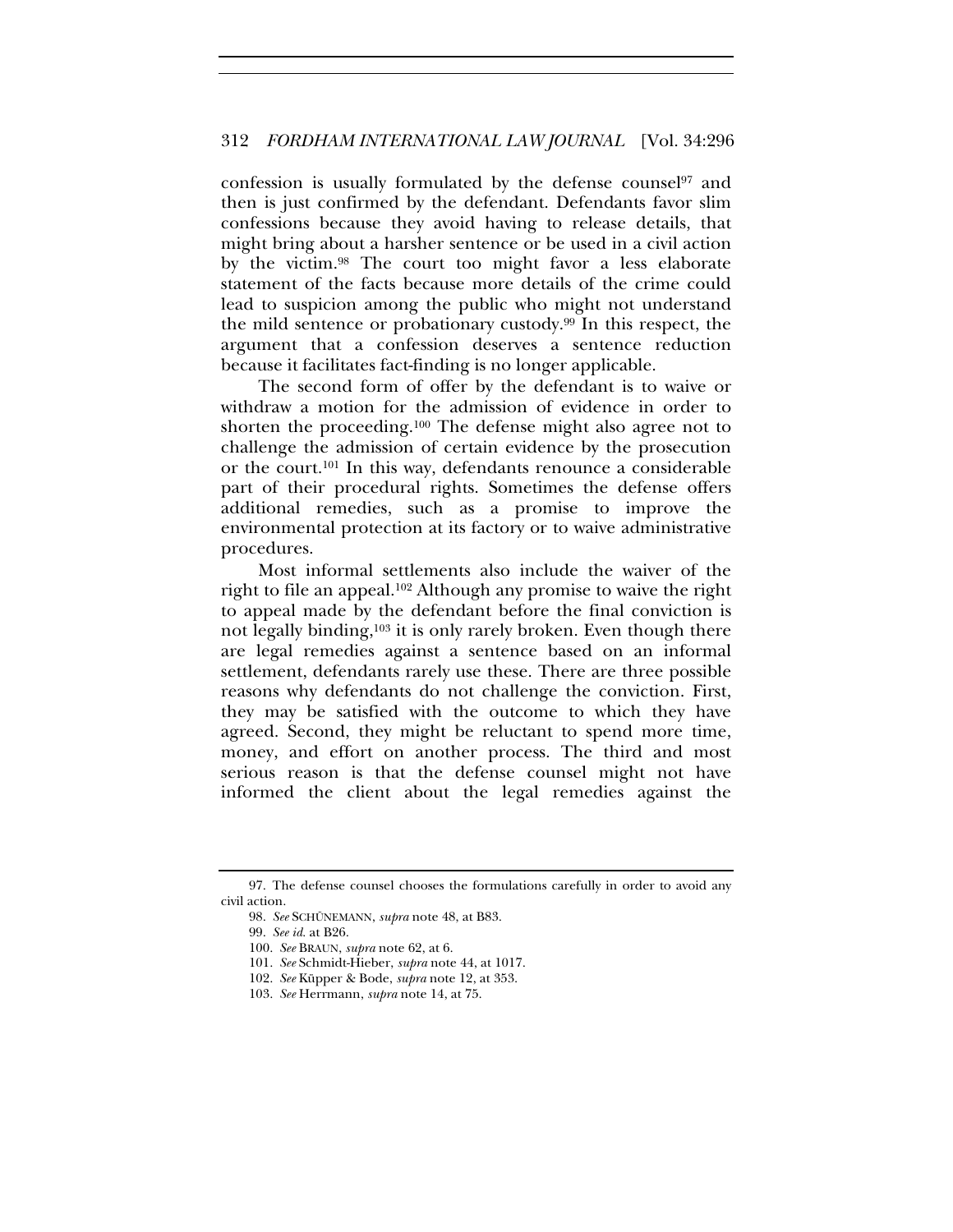confession is usually formulated by the defense counsel97 and then is just confirmed by the defendant. Defendants favor slim confessions because they avoid having to release details, that might bring about a harsher sentence or be used in a civil action by the victim.98 The court too might favor a less elaborate statement of the facts because more details of the crime could lead to suspicion among the public who might not understand the mild sentence or probationary custody.99 In this respect, the argument that a confession deserves a sentence reduction because it facilitates fact-finding is no longer applicable.

The second form of offer by the defendant is to waive or withdraw a motion for the admission of evidence in order to shorten the proceeding.100 The defense might also agree not to challenge the admission of certain evidence by the prosecution or the court.101 In this way, defendants renounce a considerable part of their procedural rights. Sometimes the defense offers additional remedies, such as a promise to improve the environmental protection at its factory or to waive administrative procedures.

Most informal settlements also include the waiver of the right to file an appeal.102 Although any promise to waive the right to appeal made by the defendant before the final conviction is not legally binding,<sup>103</sup> it is only rarely broken. Even though there are legal remedies against a sentence based on an informal settlement, defendants rarely use these. There are three possible reasons why defendants do not challenge the conviction. First, they may be satisfied with the outcome to which they have agreed. Second, they might be reluctant to spend more time, money, and effort on another process. The third and most serious reason is that the defense counsel might not have informed the client about the legal remedies against the

<sup>97.</sup> The defense counsel chooses the formulations carefully in order to avoid any civil action.

<sup>98.</sup> *See* SCHÜNEMANN, *supra* note 48, at B83.

<sup>99.</sup> *See id.* at B26.

<sup>100.</sup> *See* BRAUN, *supra* note 62, at 6.

<sup>101.</sup> *See* Schmidt-Hieber, *supra* note 44, at 1017.

<sup>102.</sup> *See* Küpper & Bode, *supra* note 12, at 353.

<sup>103.</sup> *See* Herrmann, *supra* note 14, at 75.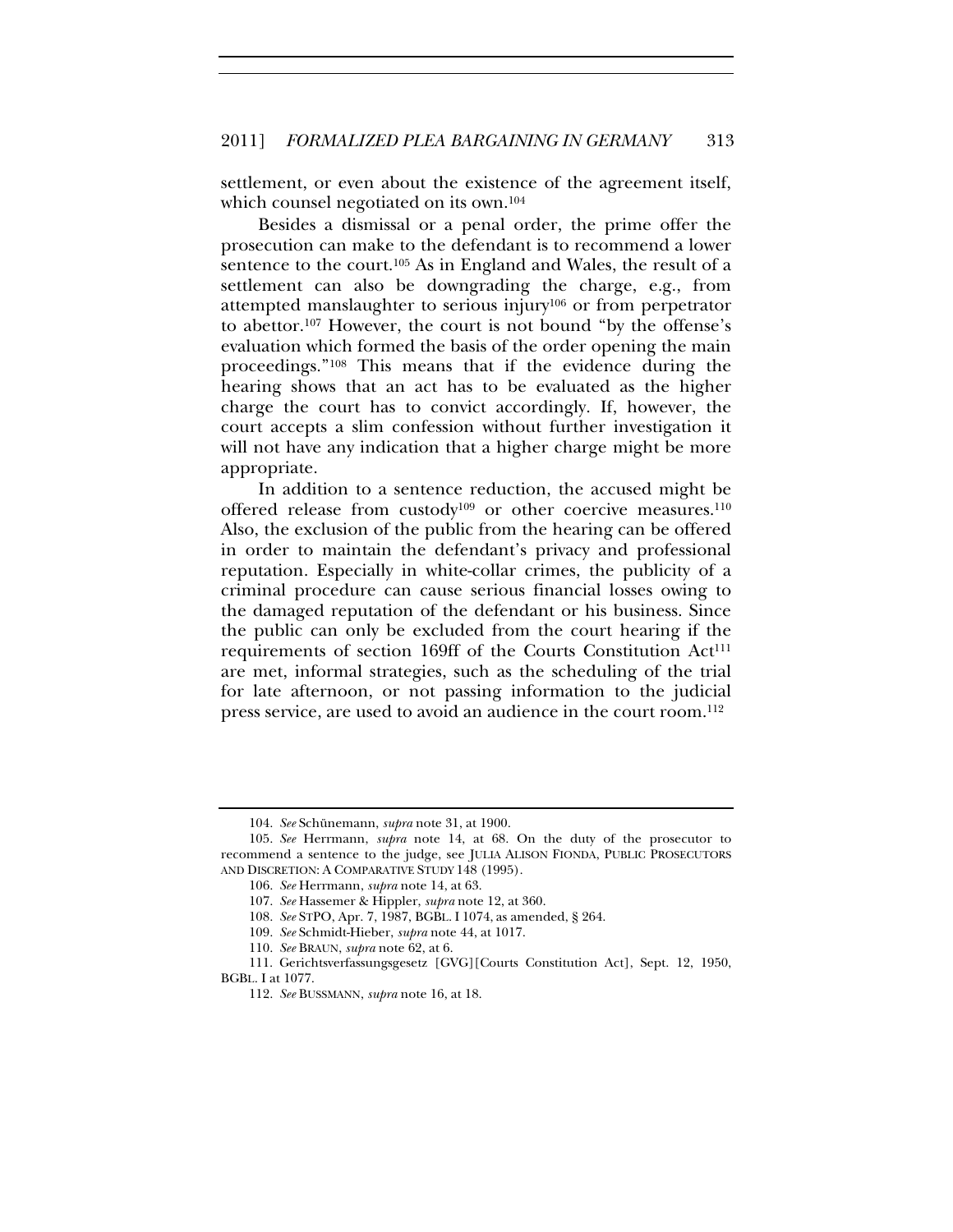settlement, or even about the existence of the agreement itself, which counsel negotiated on its own.104

Besides a dismissal or a penal order, the prime offer the prosecution can make to the defendant is to recommend a lower sentence to the court.<sup>105</sup> As in England and Wales, the result of a settlement can also be downgrading the charge, e.g., from attempted manslaughter to serious injury106 or from perpetrator to abettor.107 However, the court is not bound "by the offense's evaluation which formed the basis of the order opening the main proceedings."108 This means that if the evidence during the hearing shows that an act has to be evaluated as the higher charge the court has to convict accordingly. If, however, the court accepts a slim confession without further investigation it will not have any indication that a higher charge might be more appropriate.

In addition to a sentence reduction, the accused might be offered release from custody<sup>109</sup> or other coercive measures.<sup>110</sup> Also, the exclusion of the public from the hearing can be offered in order to maintain the defendant's privacy and professional reputation. Especially in white-collar crimes, the publicity of a criminal procedure can cause serious financial losses owing to the damaged reputation of the defendant or his business. Since the public can only be excluded from the court hearing if the requirements of section 169ff of the Courts Constitution Act<sup>111</sup> are met, informal strategies, such as the scheduling of the trial for late afternoon, or not passing information to the judicial press service, are used to avoid an audience in the court room.112

<sup>104.</sup> *See* Schünemann, *supra* note 31, at 1900.

<sup>105.</sup> *See* Herrmann, *supra* note 14, at 68. On the duty of the prosecutor to recommend a sentence to the judge, see JULIA ALISON FIONDA, PUBLIC PROSECUTORS AND DISCRETION: A COMPARATIVE STUDY 148 (1995).

<sup>106.</sup> *See* Herrmann, *supra* note 14, at 63.

<sup>107.</sup> *See* Hassemer & Hippler, *supra* note 12, at 360.

<sup>108.</sup> *See* STPO, Apr. 7, 1987, BGBL. I 1074, as amended, § 264.

<sup>109.</sup> *See* Schmidt-Hieber, *supra* note 44, at 1017.

<sup>110.</sup> *See* BRAUN, *supra* note 62, at 6.

<sup>111.</sup> Gerichtsverfassungsgesetz [GVG][Courts Constitution Act], Sept. 12, 1950, BGBL. I at 1077.

<sup>112.</sup> *See* BUSSMANN, *supra* note 16, at 18.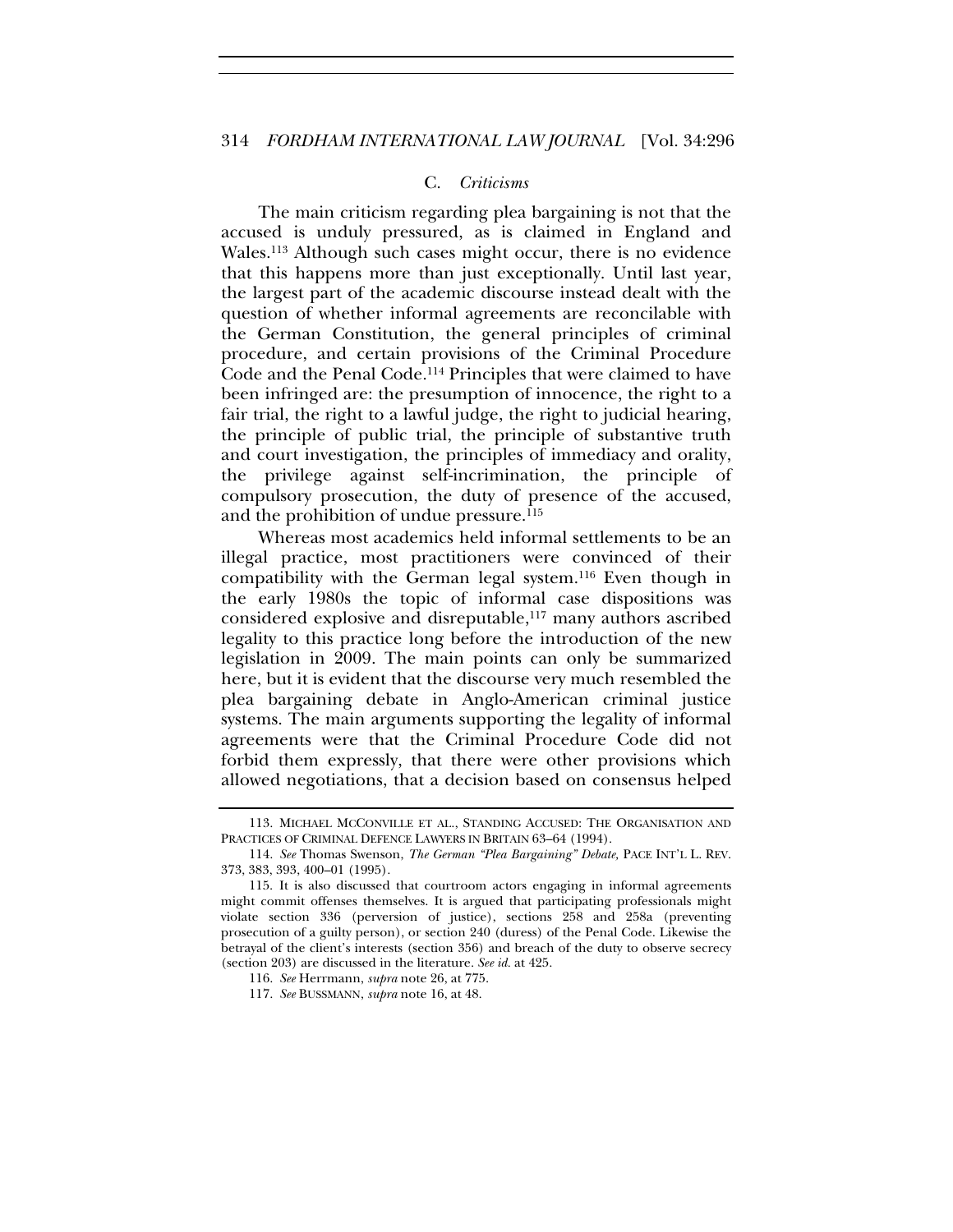#### C. *Criticisms*

The main criticism regarding plea bargaining is not that the accused is unduly pressured, as is claimed in England and Wales.113 Although such cases might occur, there is no evidence that this happens more than just exceptionally. Until last year, the largest part of the academic discourse instead dealt with the question of whether informal agreements are reconcilable with the German Constitution, the general principles of criminal procedure, and certain provisions of the Criminal Procedure Code and the Penal Code.114 Principles that were claimed to have been infringed are: the presumption of innocence, the right to a fair trial, the right to a lawful judge, the right to judicial hearing, the principle of public trial, the principle of substantive truth and court investigation, the principles of immediacy and orality, the privilege against self-incrimination, the principle of compulsory prosecution, the duty of presence of the accused, and the prohibition of undue pressure.115

Whereas most academics held informal settlements to be an illegal practice, most practitioners were convinced of their compatibility with the German legal system.116 Even though in the early 1980s the topic of informal case dispositions was considered explosive and disreputable,117 many authors ascribed legality to this practice long before the introduction of the new legislation in 2009. The main points can only be summarized here, but it is evident that the discourse very much resembled the plea bargaining debate in Anglo-American criminal justice systems. The main arguments supporting the legality of informal agreements were that the Criminal Procedure Code did not forbid them expressly, that there were other provisions which allowed negotiations, that a decision based on consensus helped

<sup>113.</sup> MICHAEL MCCONVILLE ET AL., STANDING ACCUSED: THE ORGANISATION AND PRACTICES OF CRIMINAL DEFENCE LAWYERS IN BRITAIN 63–64 (1994).

<sup>114.</sup> *See* Thomas Swenson, *The German "Plea Bargaining" Debate,* PACE INT'L L. REV. 373, 383, 393, 400–01 (1995).

<sup>115.</sup> It is also discussed that courtroom actors engaging in informal agreements might commit offenses themselves. It is argued that participating professionals might violate section 336 (perversion of justice), sections 258 and 258a (preventing prosecution of a guilty person), or section 240 (duress) of the Penal Code. Likewise the betrayal of the client's interests (section 356) and breach of the duty to observe secrecy (section 203) are discussed in the literature. *See id.* at 425.

<sup>116.</sup> *See* Herrmann, *supra* note 26, at 775.

<sup>117.</sup> *See* BUSSMANN, *supra* note 16, at 48.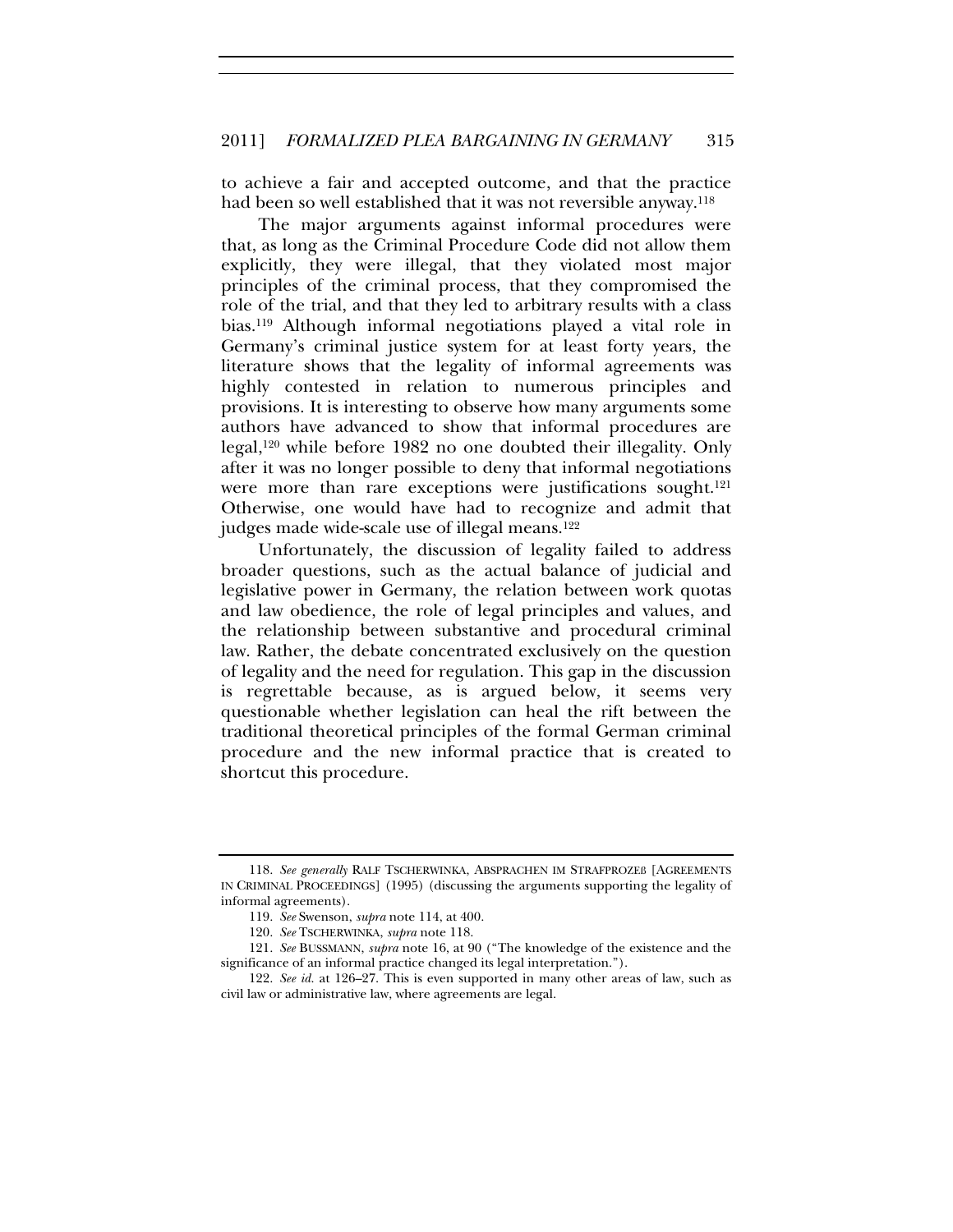to achieve a fair and accepted outcome, and that the practice had been so well established that it was not reversible anyway.118

The major arguments against informal procedures were that, as long as the Criminal Procedure Code did not allow them explicitly, they were illegal, that they violated most major principles of the criminal process, that they compromised the role of the trial, and that they led to arbitrary results with a class bias.119 Although informal negotiations played a vital role in Germany's criminal justice system for at least forty years, the literature shows that the legality of informal agreements was highly contested in relation to numerous principles and provisions. It is interesting to observe how many arguments some authors have advanced to show that informal procedures are legal,120 while before 1982 no one doubted their illegality. Only after it was no longer possible to deny that informal negotiations were more than rare exceptions were justifications sought.<sup>121</sup> Otherwise, one would have had to recognize and admit that judges made wide-scale use of illegal means.<sup>122</sup>

Unfortunately, the discussion of legality failed to address broader questions, such as the actual balance of judicial and legislative power in Germany, the relation between work quotas and law obedience, the role of legal principles and values, and the relationship between substantive and procedural criminal law. Rather, the debate concentrated exclusively on the question of legality and the need for regulation. This gap in the discussion is regrettable because, as is argued below, it seems very questionable whether legislation can heal the rift between the traditional theoretical principles of the formal German criminal procedure and the new informal practice that is created to shortcut this procedure.

<sup>118.</sup> *See generally* RALF TSCHERWINKA, ABSPRACHEN IM STRAFPROZEß [AGREEMENTS IN CRIMINAL PROCEEDINGS] (1995) (discussing the arguments supporting the legality of informal agreements).

<sup>119.</sup> *See* Swenson, *supra* note 114, at 400.

<sup>120.</sup> *See* TSCHERWINKA, *supra* note 118.

<sup>121.</sup> *See* BUSSMANN, *supra* note 16, at 90 ("The knowledge of the existence and the significance of an informal practice changed its legal interpretation.").

<sup>122.</sup> *See id.* at 126–27. This is even supported in many other areas of law, such as civil law or administrative law, where agreements are legal.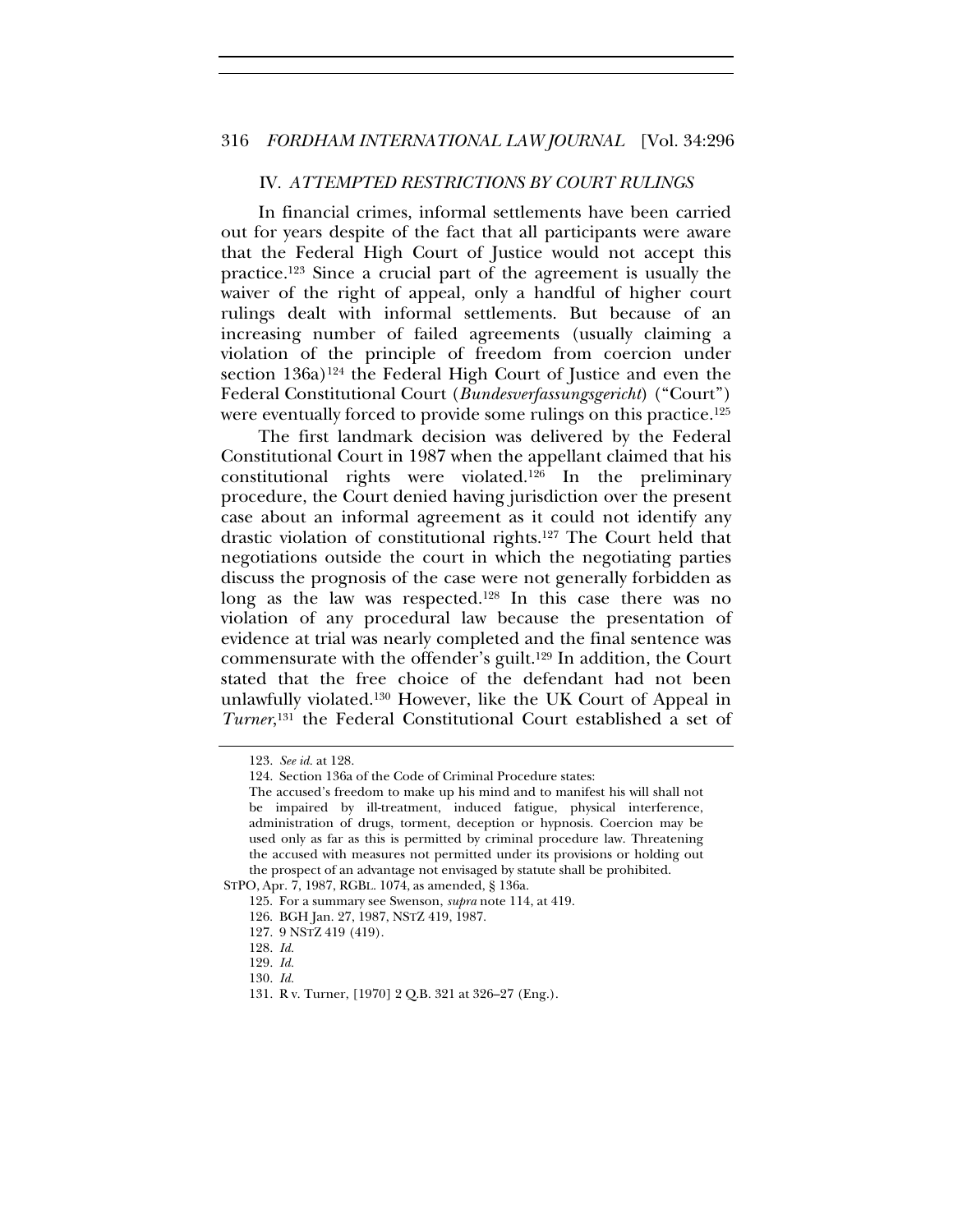#### 316 *FORDHAM INTERNATIONAL LAW JOURNAL* [Vol. 34:296

#### IV. *ATTEMPTED RESTRICTIONS BY COURT RULINGS*

In financial crimes, informal settlements have been carried out for years despite of the fact that all participants were aware that the Federal High Court of Justice would not accept this practice.123 Since a crucial part of the agreement is usually the waiver of the right of appeal, only a handful of higher court rulings dealt with informal settlements. But because of an increasing number of failed agreements (usually claiming a violation of the principle of freedom from coercion under section 136a)<sup>124</sup> the Federal High Court of Justice and even the Federal Constitutional Court (*Bundesverfassungsgericht*) ("Court") were eventually forced to provide some rulings on this practice.125

The first landmark decision was delivered by the Federal Constitutional Court in 1987 when the appellant claimed that his constitutional rights were violated.126 In the preliminary procedure, the Court denied having jurisdiction over the present case about an informal agreement as it could not identify any drastic violation of constitutional rights.127 The Court held that negotiations outside the court in which the negotiating parties discuss the prognosis of the case were not generally forbidden as long as the law was respected.128 In this case there was no violation of any procedural law because the presentation of evidence at trial was nearly completed and the final sentence was commensurate with the offender's guilt.129 In addition, the Court stated that the free choice of the defendant had not been unlawfully violated.130 However, like the UK Court of Appeal in *Turner*, 131 the Federal Constitutional Court established a set of

<sup>123.</sup> *See id.* at 128.

<sup>124.</sup> Section 136a of the Code of Criminal Procedure states:

The accused's freedom to make up his mind and to manifest his will shall not be impaired by ill-treatment, induced fatigue, physical interference, administration of drugs, torment, deception or hypnosis. Coercion may be used only as far as this is permitted by criminal procedure law. Threatening the accused with measures not permitted under its provisions or holding out the prospect of an advantage not envisaged by statute shall be prohibited.

STPO, Apr. 7, 1987, RGBL. 1074, as amended, § 136a.

<sup>125.</sup> For a summary see Swenson, *supra* note 114, at 419.

<sup>126.</sup> BGH Jan. 27, 1987, NSTZ 419, 1987.

<sup>127. 9</sup> NSTZ 419 (419).

<sup>128.</sup> *Id.*

<sup>129.</sup> *Id.*

<sup>130.</sup> *Id.*

<sup>131.</sup> R v. Turner, [1970] 2 Q.B. 321 at 326–27 (Eng.).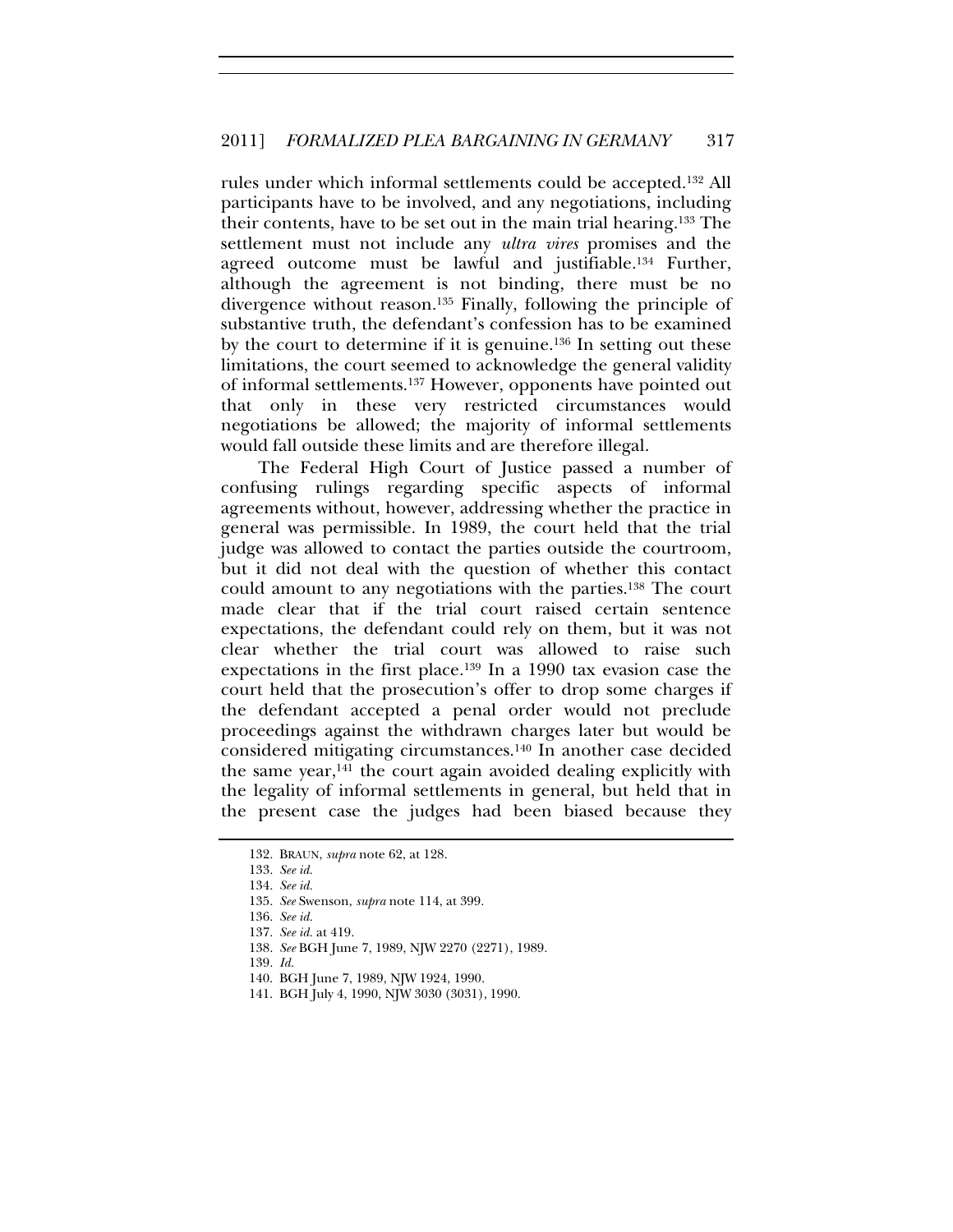rules under which informal settlements could be accepted.132 All participants have to be involved, and any negotiations, including their contents, have to be set out in the main trial hearing.133 The settlement must not include any *ultra vires* promises and the agreed outcome must be lawful and justifiable.134 Further, although the agreement is not binding, there must be no divergence without reason.135 Finally, following the principle of substantive truth, the defendant's confession has to be examined by the court to determine if it is genuine.136 In setting out these limitations, the court seemed to acknowledge the general validity of informal settlements.137 However, opponents have pointed out that only in these very restricted circumstances would negotiations be allowed; the majority of informal settlements would fall outside these limits and are therefore illegal.

The Federal High Court of Justice passed a number of confusing rulings regarding specific aspects of informal agreements without, however, addressing whether the practice in general was permissible. In 1989, the court held that the trial judge was allowed to contact the parties outside the courtroom, but it did not deal with the question of whether this contact could amount to any negotiations with the parties.138 The court made clear that if the trial court raised certain sentence expectations, the defendant could rely on them, but it was not clear whether the trial court was allowed to raise such expectations in the first place.139 In a 1990 tax evasion case the court held that the prosecution's offer to drop some charges if the defendant accepted a penal order would not preclude proceedings against the withdrawn charges later but would be considered mitigating circumstances.140 In another case decided the same year,<sup>141</sup> the court again avoided dealing explicitly with the legality of informal settlements in general, but held that in the present case the judges had been biased because they

<sup>132.</sup> BRAUN, *supra* note 62, at 128.

<sup>133.</sup> *See id.*

<sup>134.</sup> *See id.*

<sup>135.</sup> *See* Swenson, *supra* note 114, at 399.

<sup>136.</sup> *See id.*

<sup>137.</sup> *See id.* at 419.

<sup>138.</sup> *See* BGH June 7, 1989, NJW 2270 (2271), 1989.

<sup>139.</sup> *Id.*

<sup>140.</sup> BGH June 7, 1989, NJW 1924, 1990.

<sup>141.</sup> BGH July 4, 1990, NJW 3030 (3031), 1990.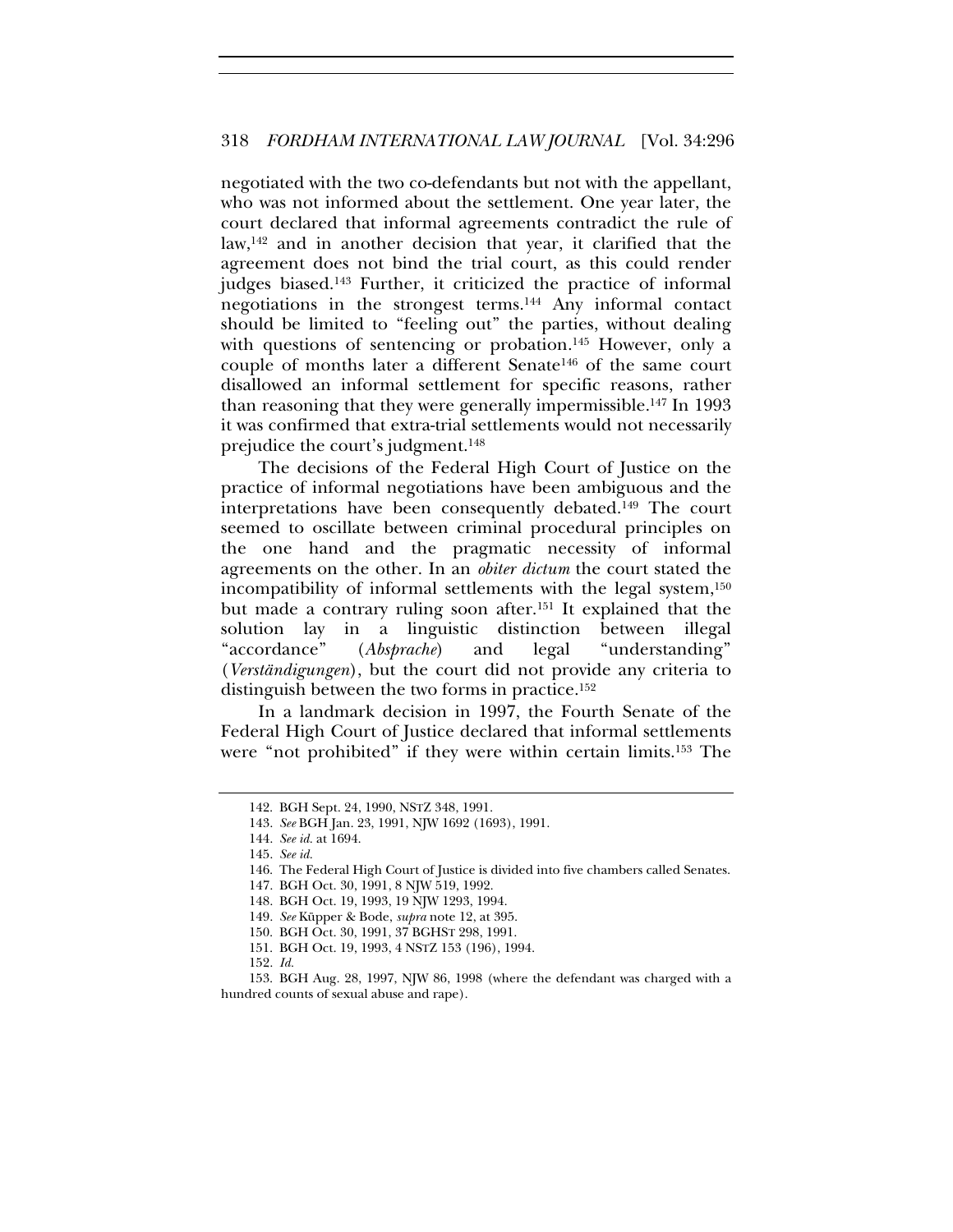negotiated with the two co-defendants but not with the appellant, who was not informed about the settlement. One year later, the court declared that informal agreements contradict the rule of law,142 and in another decision that year, it clarified that the agreement does not bind the trial court, as this could render judges biased.143 Further, it criticized the practice of informal negotiations in the strongest terms.144 Any informal contact should be limited to "feeling out" the parties, without dealing with questions of sentencing or probation.<sup>145</sup> However, only a couple of months later a different Senate146 of the same court disallowed an informal settlement for specific reasons, rather than reasoning that they were generally impermissible.147 In 1993 it was confirmed that extra-trial settlements would not necessarily prejudice the court's judgment.148

The decisions of the Federal High Court of Justice on the practice of informal negotiations have been ambiguous and the interpretations have been consequently debated.149 The court seemed to oscillate between criminal procedural principles on the one hand and the pragmatic necessity of informal agreements on the other. In an *obiter dictum* the court stated the incompatibility of informal settlements with the legal system,<sup>150</sup> but made a contrary ruling soon after.151 It explained that the solution lay in a linguistic distinction between illegal "accordance" (*Absprache*) and legal "understanding" (*Verständigungen*), but the court did not provide any criteria to distinguish between the two forms in practice.152

In a landmark decision in 1997, the Fourth Senate of the Federal High Court of Justice declared that informal settlements were "not prohibited" if they were within certain limits.153 The

<sup>142.</sup> BGH Sept. 24, 1990, NSTZ 348, 1991.

<sup>143.</sup> *See* BGH Jan. 23, 1991, NJW 1692 (1693), 1991.

<sup>144.</sup> *See id.* at 1694.

<sup>145.</sup> *See id.*

<sup>146.</sup> The Federal High Court of Justice is divided into five chambers called Senates.

<sup>147.</sup> BGH Oct. 30, 1991, 8 NJW 519, 1992.

<sup>148.</sup> BGH Oct. 19, 1993, 19 NJW 1293, 1994.

<sup>149.</sup> *See* Küpper & Bode, *supra* note 12, at 395.

<sup>150.</sup> BGH Oct. 30, 1991, 37 BGHST 298, 1991.

<sup>151.</sup> BGH Oct. 19, 1993, 4 NSTZ 153 (196), 1994.

<sup>152.</sup> *Id.*

<sup>153.</sup> BGH Aug. 28, 1997, NJW 86, 1998 (where the defendant was charged with a hundred counts of sexual abuse and rape).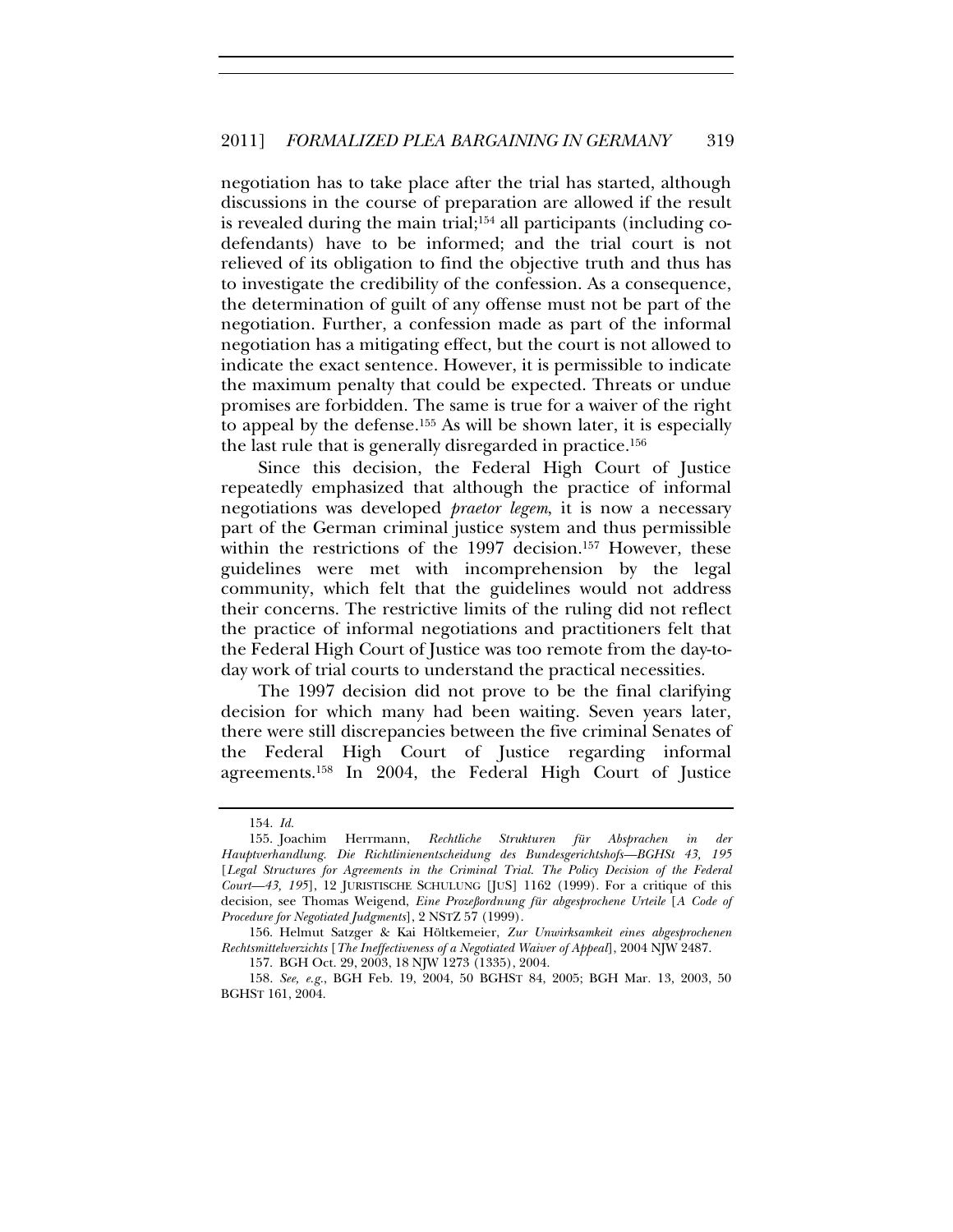negotiation has to take place after the trial has started, although discussions in the course of preparation are allowed if the result is revealed during the main trial;154 all participants (including codefendants) have to be informed; and the trial court is not relieved of its obligation to find the objective truth and thus has to investigate the credibility of the confession. As a consequence, the determination of guilt of any offense must not be part of the negotiation. Further, a confession made as part of the informal negotiation has a mitigating effect, but the court is not allowed to indicate the exact sentence. However, it is permissible to indicate the maximum penalty that could be expected. Threats or undue promises are forbidden. The same is true for a waiver of the right to appeal by the defense.155 As will be shown later, it is especially the last rule that is generally disregarded in practice.156

Since this decision, the Federal High Court of Justice repeatedly emphasized that although the practice of informal negotiations was developed *praetor legem*, it is now a necessary part of the German criminal justice system and thus permissible within the restrictions of the 1997 decision.<sup>157</sup> However, these guidelines were met with incomprehension by the legal community, which felt that the guidelines would not address their concerns. The restrictive limits of the ruling did not reflect the practice of informal negotiations and practitioners felt that the Federal High Court of Justice was too remote from the day-today work of trial courts to understand the practical necessities.

The 1997 decision did not prove to be the final clarifying decision for which many had been waiting. Seven years later, there were still discrepancies between the five criminal Senates of the Federal High Court of Justice regarding informal agreements.158 In 2004, the Federal High Court of Justice

<sup>154.</sup> *Id.*

<sup>155.</sup> Joachim Herrmann, *Rechtliche Strukturen für Absprachen in der Hauptverhandlung. Die Richtlinienentscheidung des Bundesgerichtshofs—BGHSt 43, 195*  [*Legal Structures for Agreements in the Criminal Trial. The Policy Decision of the Federal Court—43, 195*], 12 JURISTISCHE SCHULUNG [JUS] 1162 (1999). For a critique of this decision, see Thomas Weigend, *Eine Prozeßordnung für abgesprochene Urteile* [*A Code of Procedure for Negotiated Judgments*], 2 NSTZ 57 (1999).

<sup>156.</sup> Helmut Satzger & Kai Höltkemeier, *Zur Unwirksamkeit eines abgesprochenen Rechtsmittelverzichts* [*The Ineffectiveness of a Negotiated Waiver of Appeal*], 2004 NJW 2487.

<sup>157.</sup> BGH Oct. 29, 2003, 18 NJW 1273 (1335), 2004.

<sup>158.</sup> *See, e.g.*, BGH Feb. 19, 2004, 50 BGHST 84, 2005; BGH Mar. 13, 2003, 50 BGHST 161, 2004.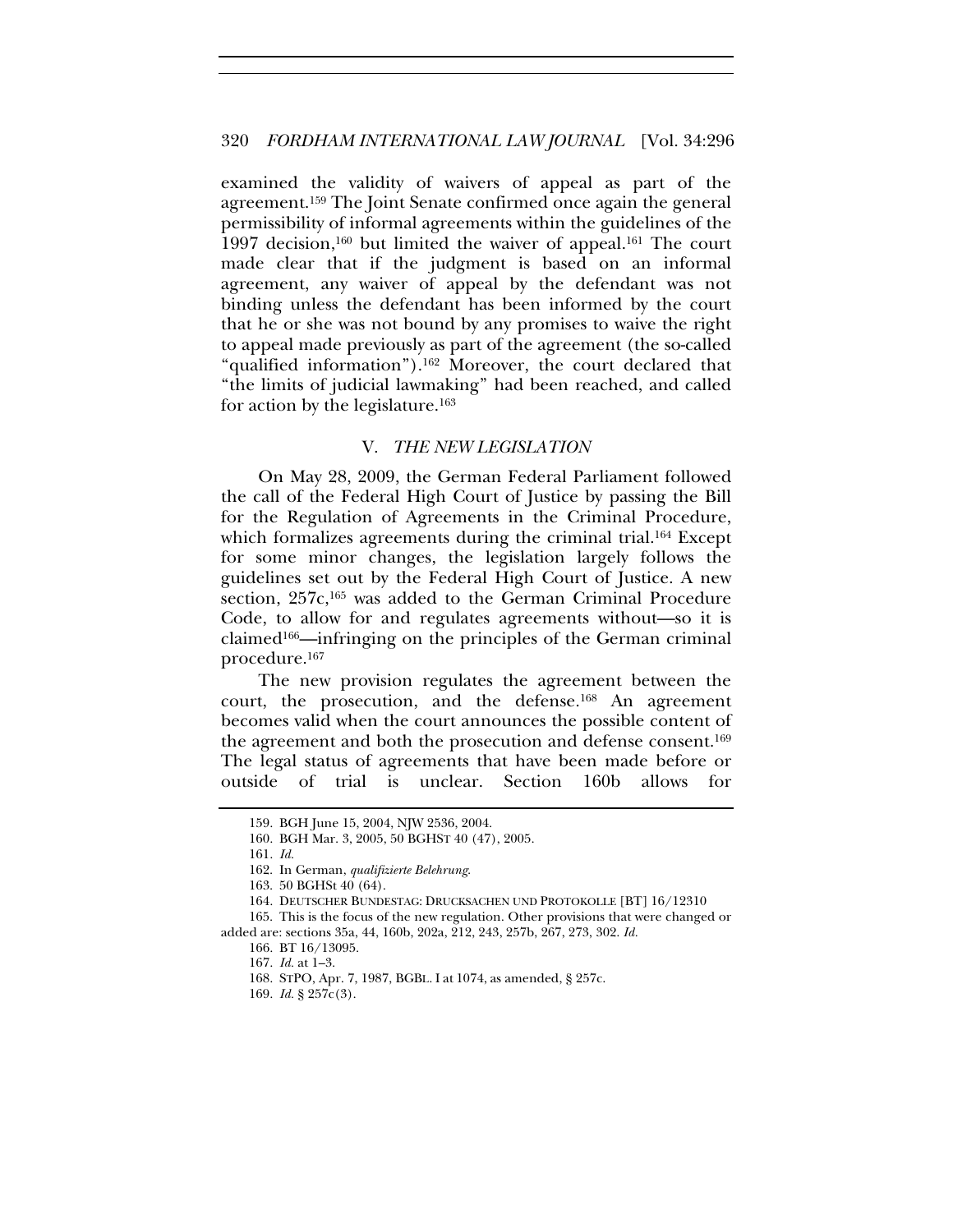examined the validity of waivers of appeal as part of the agreement.159 The Joint Senate confirmed once again the general permissibility of informal agreements within the guidelines of the 1997 decision,<sup>160</sup> but limited the waiver of appeal.<sup>161</sup> The court made clear that if the judgment is based on an informal agreement, any waiver of appeal by the defendant was not binding unless the defendant has been informed by the court that he or she was not bound by any promises to waive the right to appeal made previously as part of the agreement (the so-called "qualified information").162 Moreover, the court declared that "the limits of judicial lawmaking" had been reached, and called for action by the legislature.163

#### V. *THE NEW LEGISLATION*

On May 28, 2009, the German Federal Parliament followed the call of the Federal High Court of Justice by passing the Bill for the Regulation of Agreements in the Criminal Procedure, which formalizes agreements during the criminal trial.<sup>164</sup> Except for some minor changes, the legislation largely follows the guidelines set out by the Federal High Court of Justice. A new section, 257c,<sup>165</sup> was added to the German Criminal Procedure Code, to allow for and regulates agreements without—so it is claimed166—infringing on the principles of the German criminal procedure.167

The new provision regulates the agreement between the court, the prosecution, and the defense.168 An agreement becomes valid when the court announces the possible content of the agreement and both the prosecution and defense consent.169 The legal status of agreements that have been made before or outside of trial is unclear. Section 160b allows for

168. STPO, Apr. 7, 1987, BGBL. I at 1074, as amended, § 257c.

<sup>159.</sup> BGH June 15, 2004, NJW 2536, 2004.

<sup>160.</sup> BGH Mar. 3, 2005, 50 BGHST 40 (47), 2005.

<sup>161.</sup> *Id.*

<sup>162.</sup> In German, *qualifizierte Belehrung*.

<sup>163. 50</sup> BGHSt 40 (64).

<sup>164.</sup> DEUTSCHER BUNDESTAG: DRUCKSACHEN UND PROTOKOLLE [BT] 16/12310

<sup>165.</sup> This is the focus of the new regulation. Other provisions that were changed or added are: sections 35a, 44, 160b, 202a, 212, 243, 257b, 267, 273, 302. *Id.*

<sup>166.</sup> BT 16/13095.

<sup>167.</sup> *Id.* at 1–3.

<sup>169.</sup> *Id.* § 257c(3).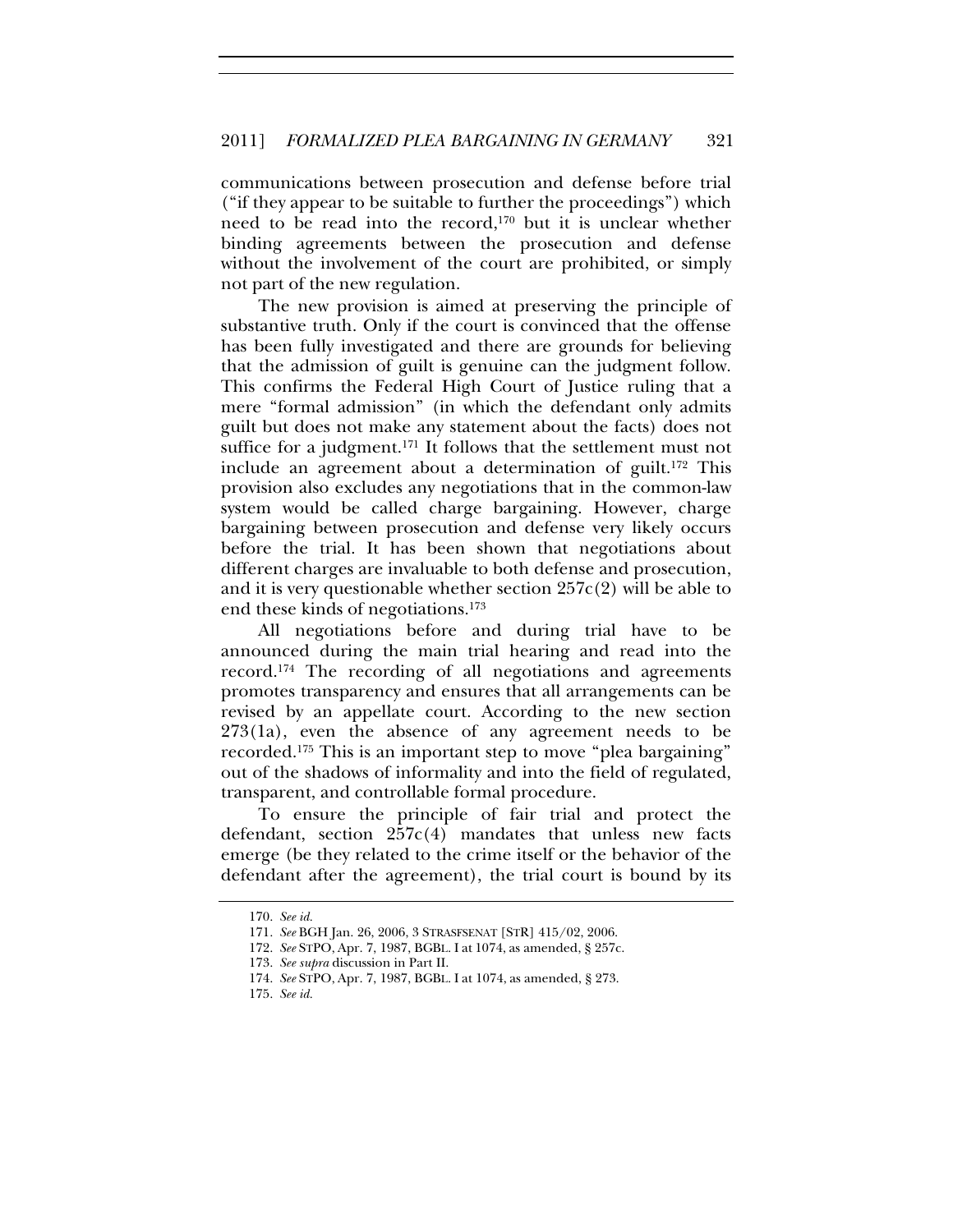communications between prosecution and defense before trial ("if they appear to be suitable to further the proceedings") which need to be read into the record,170 but it is unclear whether binding agreements between the prosecution and defense without the involvement of the court are prohibited, or simply not part of the new regulation.

The new provision is aimed at preserving the principle of substantive truth. Only if the court is convinced that the offense has been fully investigated and there are grounds for believing that the admission of guilt is genuine can the judgment follow. This confirms the Federal High Court of Justice ruling that a mere "formal admission" (in which the defendant only admits guilt but does not make any statement about the facts) does not suffice for a judgment.<sup>171</sup> It follows that the settlement must not include an agreement about a determination of guilt.172 This provision also excludes any negotiations that in the common-law system would be called charge bargaining. However, charge bargaining between prosecution and defense very likely occurs before the trial. It has been shown that negotiations about different charges are invaluable to both defense and prosecution, and it is very questionable whether section  $257c(2)$  will be able to end these kinds of negotiations.173

All negotiations before and during trial have to be announced during the main trial hearing and read into the record.174 The recording of all negotiations and agreements promotes transparency and ensures that all arrangements can be revised by an appellate court. According to the new section 273(1a), even the absence of any agreement needs to be recorded.175 This is an important step to move "plea bargaining" out of the shadows of informality and into the field of regulated, transparent, and controllable formal procedure.

To ensure the principle of fair trial and protect the defendant, section  $257c(4)$  mandates that unless new facts emerge (be they related to the crime itself or the behavior of the defendant after the agreement), the trial court is bound by its

<sup>170.</sup> *See id.*

<sup>171.</sup> *See* BGH Jan. 26, 2006, 3 STRASFSENAT [STR] 415/02, 2006.

<sup>172.</sup> *See* STPO, Apr. 7, 1987, BGBL. I at 1074, as amended, § 257c.

<sup>173.</sup> *See supra* discussion in Part II.

<sup>174.</sup> *See* STPO, Apr. 7, 1987, BGBL. I at 1074, as amended, § 273.

<sup>175.</sup> *See id.*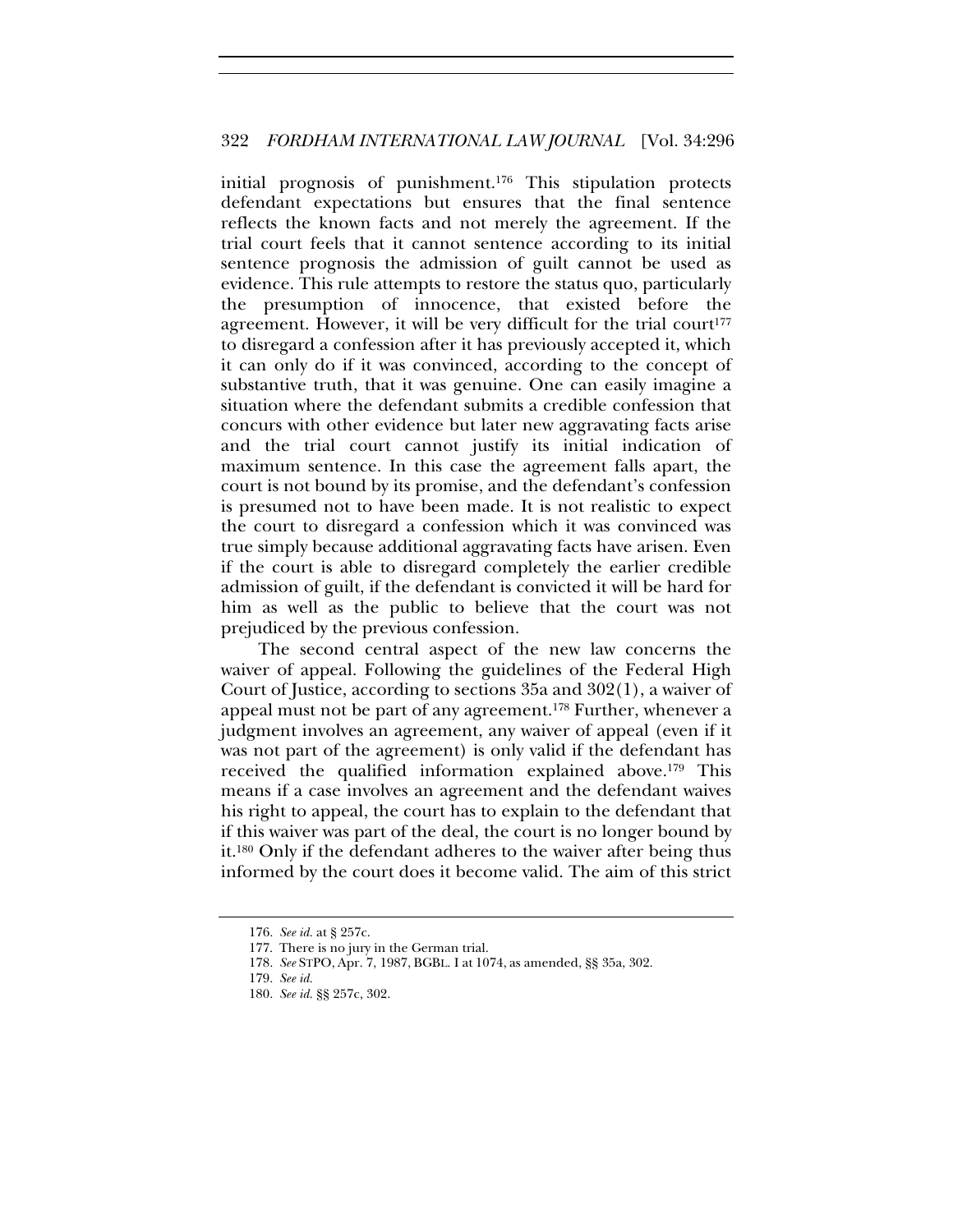initial prognosis of punishment.176 This stipulation protects defendant expectations but ensures that the final sentence reflects the known facts and not merely the agreement. If the trial court feels that it cannot sentence according to its initial sentence prognosis the admission of guilt cannot be used as evidence. This rule attempts to restore the status quo, particularly the presumption of innocence, that existed before the agreement. However, it will be very difficult for the trial court<sup>177</sup> to disregard a confession after it has previously accepted it, which it can only do if it was convinced, according to the concept of substantive truth, that it was genuine. One can easily imagine a situation where the defendant submits a credible confession that concurs with other evidence but later new aggravating facts arise and the trial court cannot justify its initial indication of maximum sentence. In this case the agreement falls apart, the court is not bound by its promise, and the defendant's confession is presumed not to have been made. It is not realistic to expect the court to disregard a confession which it was convinced was true simply because additional aggravating facts have arisen. Even if the court is able to disregard completely the earlier credible admission of guilt, if the defendant is convicted it will be hard for him as well as the public to believe that the court was not prejudiced by the previous confession.

The second central aspect of the new law concerns the waiver of appeal. Following the guidelines of the Federal High Court of Justice, according to sections 35a and 302(1), a waiver of appeal must not be part of any agreement.178 Further, whenever a judgment involves an agreement, any waiver of appeal (even if it was not part of the agreement) is only valid if the defendant has received the qualified information explained above.179 This means if a case involves an agreement and the defendant waives his right to appeal, the court has to explain to the defendant that if this waiver was part of the deal, the court is no longer bound by it.180 Only if the defendant adheres to the waiver after being thus informed by the court does it become valid. The aim of this strict

<sup>176.</sup> *See id.* at § 257c.

<sup>177.</sup> There is no jury in the German trial.

<sup>178.</sup> *See* STPO, Apr. 7, 1987, BGBL. I at 1074, as amended, §§ 35a, 302.

<sup>179.</sup> *See id.*

<sup>180.</sup> *See id.* §§ 257c, 302.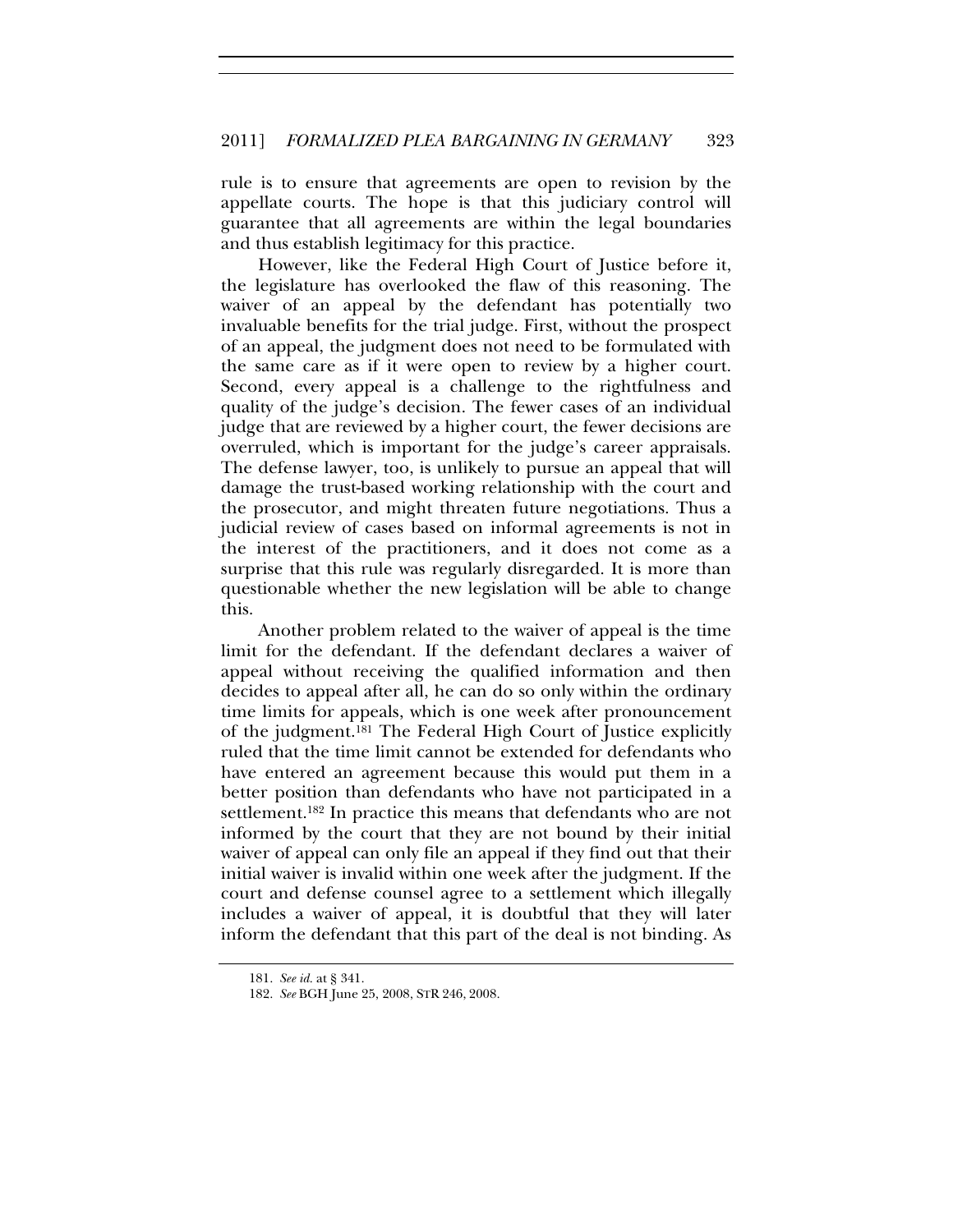rule is to ensure that agreements are open to revision by the appellate courts. The hope is that this judiciary control will guarantee that all agreements are within the legal boundaries and thus establish legitimacy for this practice.

However, like the Federal High Court of Justice before it, the legislature has overlooked the flaw of this reasoning. The waiver of an appeal by the defendant has potentially two invaluable benefits for the trial judge. First, without the prospect of an appeal, the judgment does not need to be formulated with the same care as if it were open to review by a higher court. Second, every appeal is a challenge to the rightfulness and quality of the judge's decision. The fewer cases of an individual judge that are reviewed by a higher court, the fewer decisions are overruled, which is important for the judge's career appraisals. The defense lawyer, too, is unlikely to pursue an appeal that will damage the trust-based working relationship with the court and the prosecutor, and might threaten future negotiations. Thus a judicial review of cases based on informal agreements is not in the interest of the practitioners, and it does not come as a surprise that this rule was regularly disregarded. It is more than questionable whether the new legislation will be able to change this.

Another problem related to the waiver of appeal is the time limit for the defendant. If the defendant declares a waiver of appeal without receiving the qualified information and then decides to appeal after all, he can do so only within the ordinary time limits for appeals, which is one week after pronouncement of the judgment.181 The Federal High Court of Justice explicitly ruled that the time limit cannot be extended for defendants who have entered an agreement because this would put them in a better position than defendants who have not participated in a settlement.182 In practice this means that defendants who are not informed by the court that they are not bound by their initial waiver of appeal can only file an appeal if they find out that their initial waiver is invalid within one week after the judgment. If the court and defense counsel agree to a settlement which illegally includes a waiver of appeal, it is doubtful that they will later inform the defendant that this part of the deal is not binding. As

<sup>181.</sup> *See id.* at § 341.

<sup>182.</sup> *See* BGH June 25, 2008, STR 246, 2008.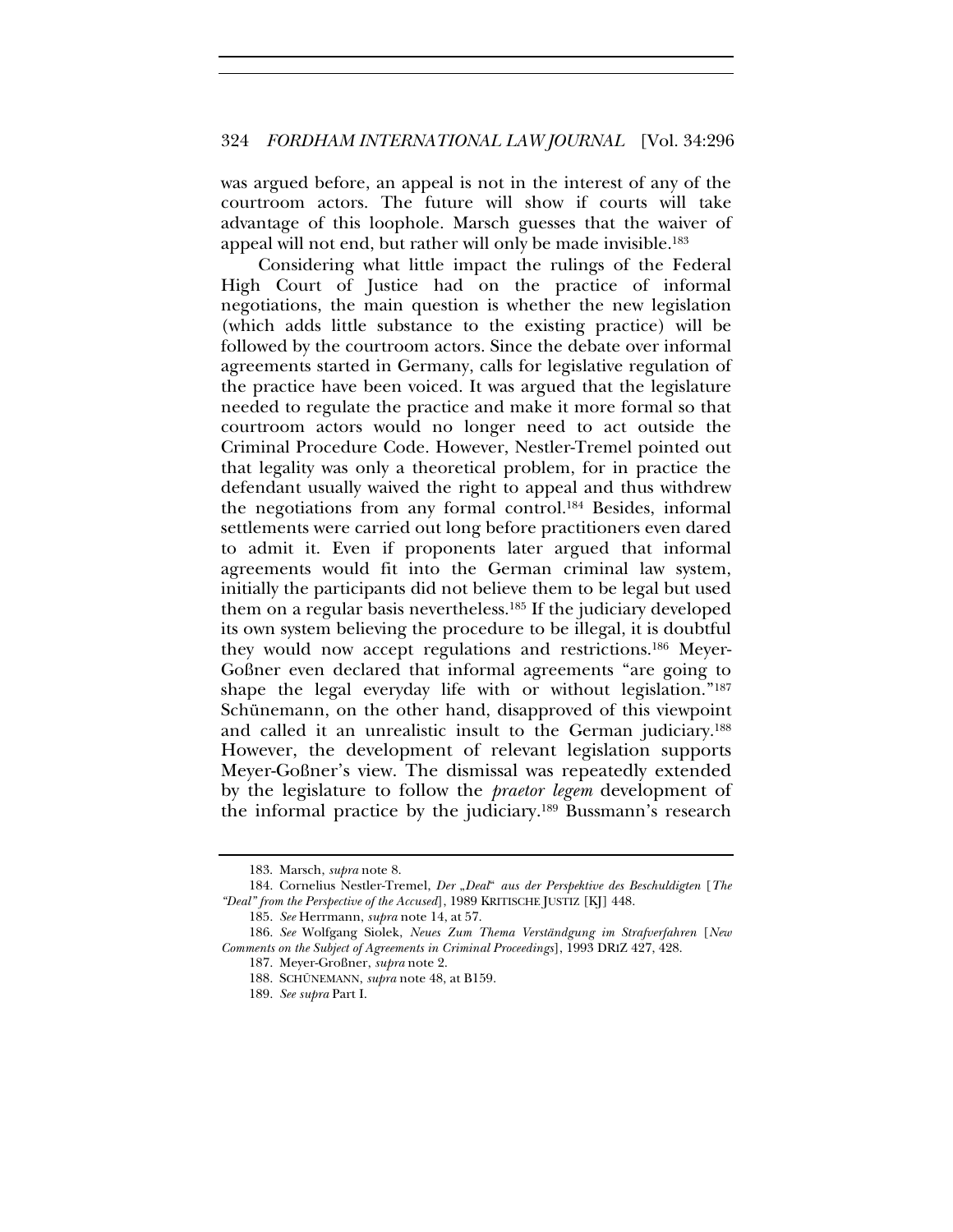was argued before, an appeal is not in the interest of any of the courtroom actors. The future will show if courts will take advantage of this loophole. Marsch guesses that the waiver of appeal will not end, but rather will only be made invisible.183

Considering what little impact the rulings of the Federal High Court of Justice had on the practice of informal negotiations, the main question is whether the new legislation (which adds little substance to the existing practice) will be followed by the courtroom actors. Since the debate over informal agreements started in Germany, calls for legislative regulation of the practice have been voiced. It was argued that the legislature needed to regulate the practice and make it more formal so that courtroom actors would no longer need to act outside the Criminal Procedure Code. However, Nestler-Tremel pointed out that legality was only a theoretical problem, for in practice the defendant usually waived the right to appeal and thus withdrew the negotiations from any formal control.184 Besides, informal settlements were carried out long before practitioners even dared to admit it. Even if proponents later argued that informal agreements would fit into the German criminal law system, initially the participants did not believe them to be legal but used them on a regular basis nevertheless.185 If the judiciary developed its own system believing the procedure to be illegal, it is doubtful they would now accept regulations and restrictions.186 Meyer-Goßner even declared that informal agreements "are going to shape the legal everyday life with or without legislation."187 Schünemann, on the other hand, disapproved of this viewpoint and called it an unrealistic insult to the German judiciary.188 However, the development of relevant legislation supports Meyer-Goßner's view. The dismissal was repeatedly extended by the legislature to follow the *praetor legem* development of the informal practice by the judiciary.<sup>189</sup> Bussmann's research

<sup>183.</sup> Marsch, *supra* note 8.

<sup>184.</sup> Cornelius Nestler-Tremel, *Der "Deal" aus der Perspektive des Beschuldigten* [*The "Deal" from the Perspective of the Accused*], 1989 KRITISCHE JUSTIZ [KJ] 448.

<sup>185.</sup> *See* Herrmann, *supra* note 14, at 57.

<sup>186.</sup> *See* Wolfgang Siolek, *Neues Zum Thema Verständgung im Strafverfahren* [*New Comments on the Subject of Agreements in Criminal Proceedings*], 1993 DRIZ 427, 428.

<sup>187.</sup> Meyer-Großner, *supra* note 2.

<sup>188.</sup> SCHÜNEMANN, *supra* note 48, at B159.

<sup>189.</sup> *See supra* Part I.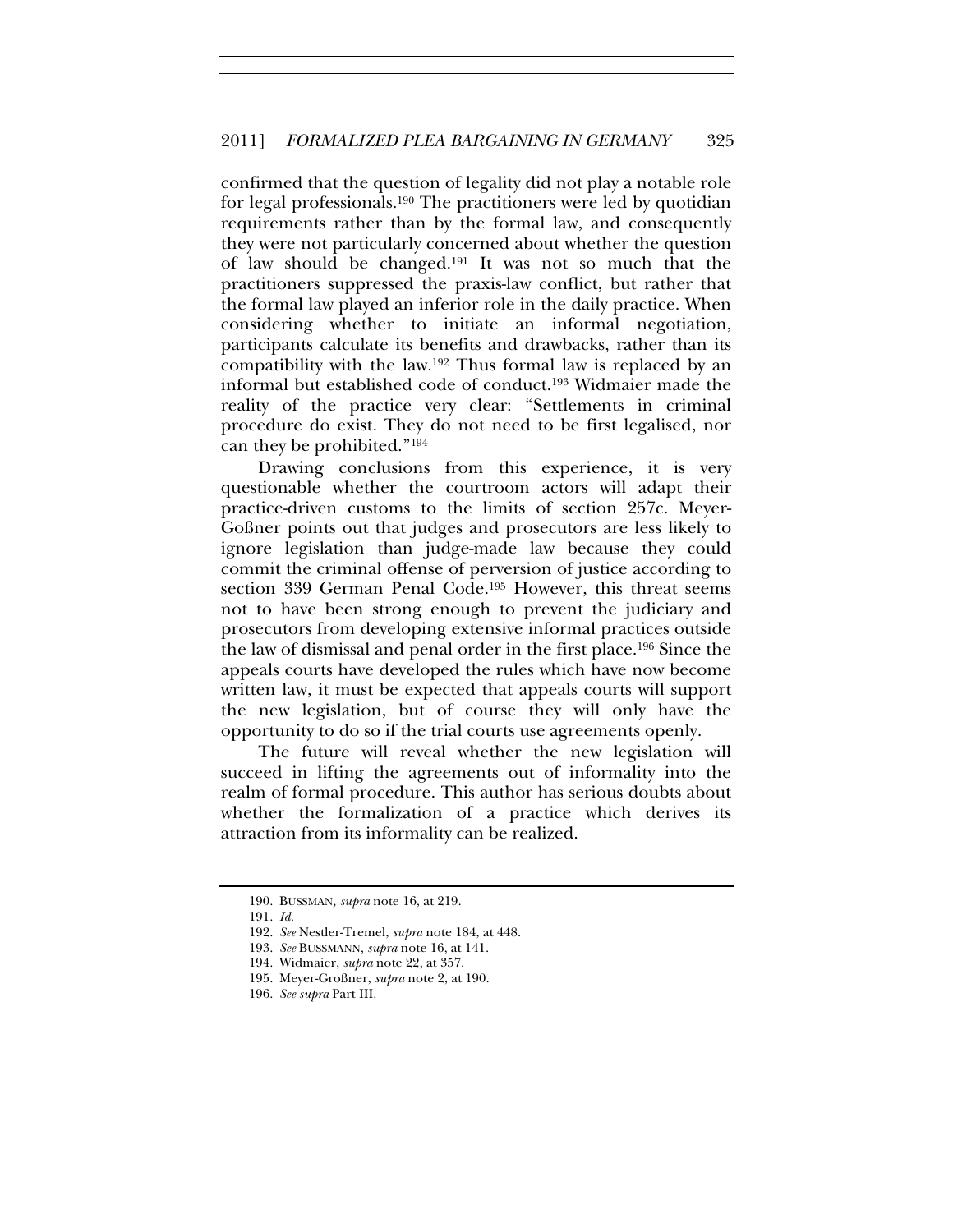confirmed that the question of legality did not play a notable role for legal professionals.190 The practitioners were led by quotidian requirements rather than by the formal law, and consequently they were not particularly concerned about whether the question of law should be changed.191 It was not so much that the practitioners suppressed the praxis-law conflict, but rather that the formal law played an inferior role in the daily practice. When considering whether to initiate an informal negotiation, participants calculate its benefits and drawbacks, rather than its compatibility with the law.192 Thus formal law is replaced by an informal but established code of conduct.193 Widmaier made the reality of the practice very clear: "Settlements in criminal procedure do exist. They do not need to be first legalised, nor can they be prohibited."194

Drawing conclusions from this experience, it is very questionable whether the courtroom actors will adapt their practice-driven customs to the limits of section 257c. Meyer-Goßner points out that judges and prosecutors are less likely to ignore legislation than judge-made law because they could commit the criminal offense of perversion of justice according to section 339 German Penal Code.<sup>195</sup> However, this threat seems not to have been strong enough to prevent the judiciary and prosecutors from developing extensive informal practices outside the law of dismissal and penal order in the first place.196 Since the appeals courts have developed the rules which have now become written law, it must be expected that appeals courts will support the new legislation, but of course they will only have the opportunity to do so if the trial courts use agreements openly.

The future will reveal whether the new legislation will succeed in lifting the agreements out of informality into the realm of formal procedure. This author has serious doubts about whether the formalization of a practice which derives its attraction from its informality can be realized.

<sup>190.</sup> BUSSMAN*, supra* note 16, at 219.

<sup>191.</sup> *Id.*

<sup>192.</sup> *See* Nestler-Tremel, *supra* note 184, at 448.

<sup>193.</sup> *See* BUSSMANN, *supra* note 16, at 141.

<sup>194.</sup> Widmaier, *supra* note 22, at 357.

<sup>195.</sup> Meyer-Großner, *supra* note 2, at 190.

<sup>196.</sup> *See supra* Part III.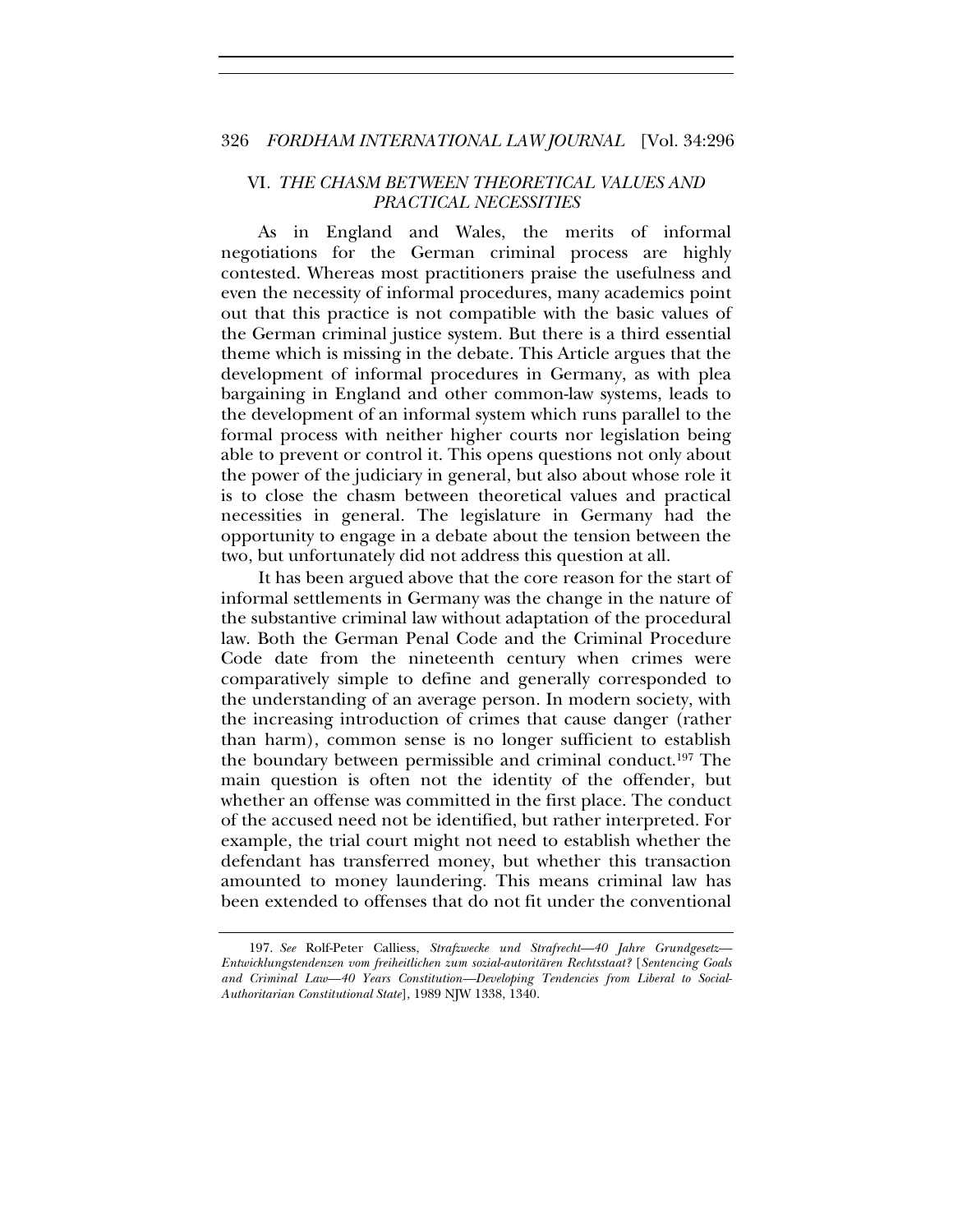#### VI*. THE CHASM BETWEEN THEORETICAL VALUES AND PRACTICAL NECESSITIES*

As in England and Wales, the merits of informal negotiations for the German criminal process are highly contested. Whereas most practitioners praise the usefulness and even the necessity of informal procedures, many academics point out that this practice is not compatible with the basic values of the German criminal justice system. But there is a third essential theme which is missing in the debate. This Article argues that the development of informal procedures in Germany, as with plea bargaining in England and other common-law systems, leads to the development of an informal system which runs parallel to the formal process with neither higher courts nor legislation being able to prevent or control it. This opens questions not only about the power of the judiciary in general, but also about whose role it is to close the chasm between theoretical values and practical necessities in general. The legislature in Germany had the opportunity to engage in a debate about the tension between the two, but unfortunately did not address this question at all.

It has been argued above that the core reason for the start of informal settlements in Germany was the change in the nature of the substantive criminal law without adaptation of the procedural law. Both the German Penal Code and the Criminal Procedure Code date from the nineteenth century when crimes were comparatively simple to define and generally corresponded to the understanding of an average person. In modern society, with the increasing introduction of crimes that cause danger (rather than harm), common sense is no longer sufficient to establish the boundary between permissible and criminal conduct.197 The main question is often not the identity of the offender, but whether an offense was committed in the first place. The conduct of the accused need not be identified, but rather interpreted. For example, the trial court might not need to establish whether the defendant has transferred money, but whether this transaction amounted to money laundering. This means criminal law has been extended to offenses that do not fit under the conventional

<sup>197.</sup> *See* Rolf-Peter Calliess, *Strafzwecke und Strafrecht—40 Jahre Grundgesetz— Entwicklungstendenzen vom freiheitlichen zum sozial-autoritären Rechtsstaat?* [*Sentencing Goals and Criminal Law—40 Years Constitution—Developing Tendencies from Liberal to Social-Authoritarian Constitutional State*], 1989 NJW 1338, 1340.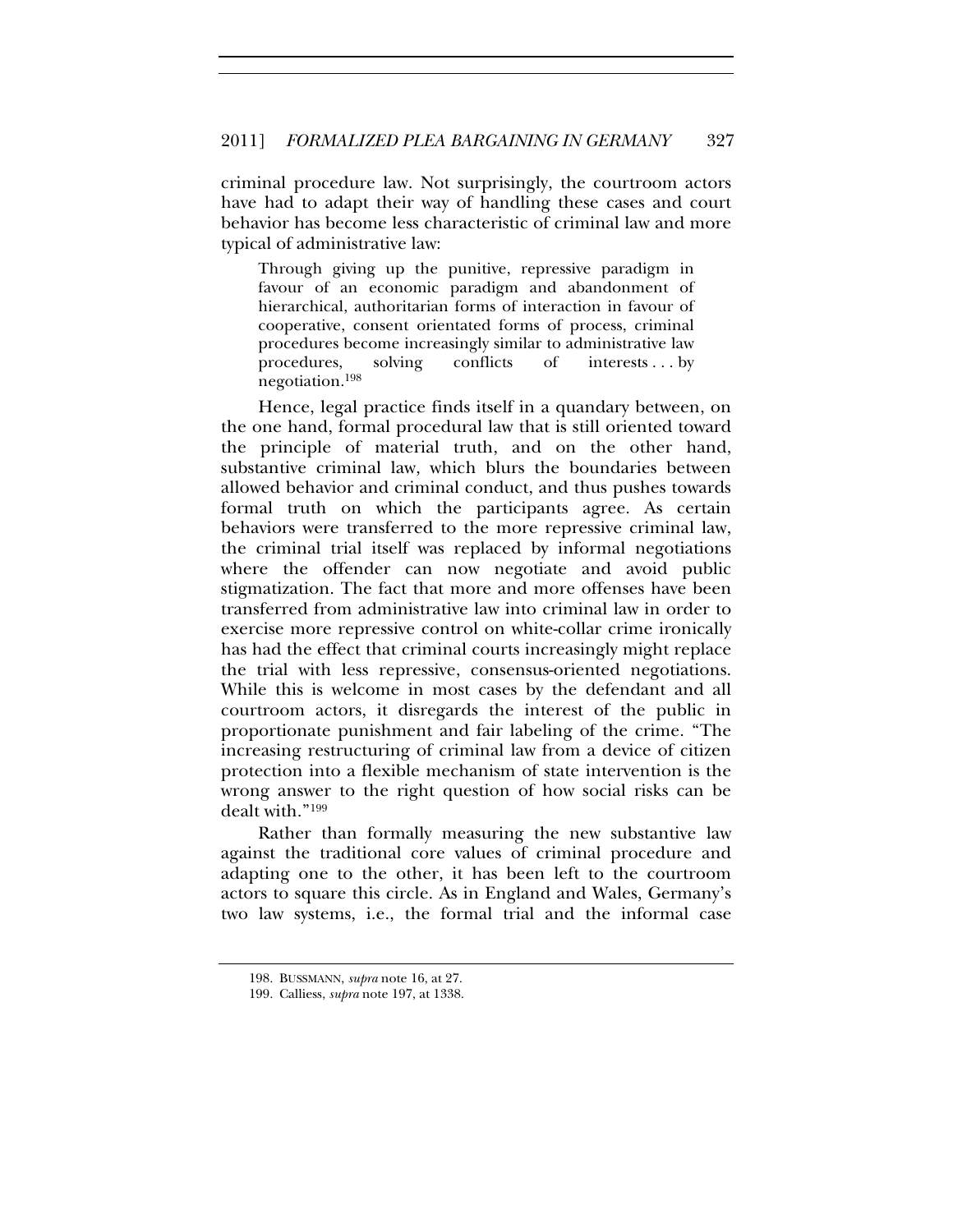criminal procedure law. Not surprisingly, the courtroom actors have had to adapt their way of handling these cases and court behavior has become less characteristic of criminal law and more typical of administrative law:

Through giving up the punitive, repressive paradigm in favour of an economic paradigm and abandonment of hierarchical, authoritarian forms of interaction in favour of cooperative, consent orientated forms of process, criminal procedures become increasingly similar to administrative law procedures, solving conflicts of interests . . . by negotiation.198

Hence, legal practice finds itself in a quandary between, on the one hand, formal procedural law that is still oriented toward the principle of material truth, and on the other hand, substantive criminal law, which blurs the boundaries between allowed behavior and criminal conduct, and thus pushes towards formal truth on which the participants agree. As certain behaviors were transferred to the more repressive criminal law, the criminal trial itself was replaced by informal negotiations where the offender can now negotiate and avoid public stigmatization. The fact that more and more offenses have been transferred from administrative law into criminal law in order to exercise more repressive control on white-collar crime ironically has had the effect that criminal courts increasingly might replace the trial with less repressive, consensus-oriented negotiations. While this is welcome in most cases by the defendant and all courtroom actors, it disregards the interest of the public in proportionate punishment and fair labeling of the crime. "The increasing restructuring of criminal law from a device of citizen protection into a flexible mechanism of state intervention is the wrong answer to the right question of how social risks can be dealt with."199

Rather than formally measuring the new substantive law against the traditional core values of criminal procedure and adapting one to the other, it has been left to the courtroom actors to square this circle. As in England and Wales, Germany's two law systems, i.e., the formal trial and the informal case

<sup>198.</sup> BUSSMANN, *supra* note 16, at 27.

<sup>199.</sup> Calliess, *supra* note 197, at 1338.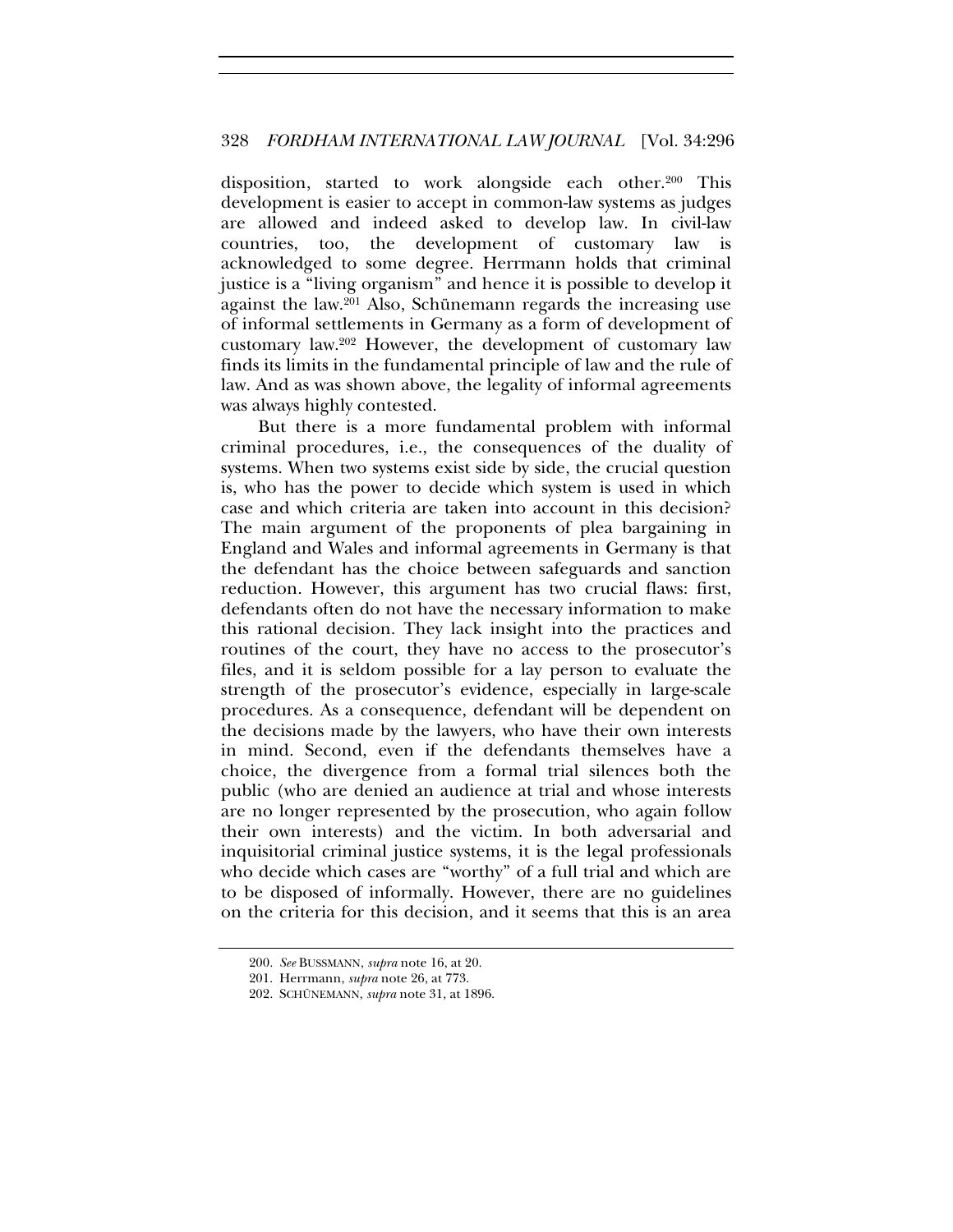disposition, started to work alongside each other.200 This development is easier to accept in common-law systems as judges are allowed and indeed asked to develop law. In civil-law countries, too, the development of customary law is acknowledged to some degree. Herrmann holds that criminal justice is a "living organism" and hence it is possible to develop it against the law.201 Also, Schünemann regards the increasing use of informal settlements in Germany as a form of development of customary law.202 However, the development of customary law finds its limits in the fundamental principle of law and the rule of law. And as was shown above, the legality of informal agreements was always highly contested.

But there is a more fundamental problem with informal criminal procedures, i.e., the consequences of the duality of systems. When two systems exist side by side, the crucial question is, who has the power to decide which system is used in which case and which criteria are taken into account in this decision? The main argument of the proponents of plea bargaining in England and Wales and informal agreements in Germany is that the defendant has the choice between safeguards and sanction reduction. However, this argument has two crucial flaws: first, defendants often do not have the necessary information to make this rational decision. They lack insight into the practices and routines of the court, they have no access to the prosecutor's files, and it is seldom possible for a lay person to evaluate the strength of the prosecutor's evidence, especially in large-scale procedures. As a consequence, defendant will be dependent on the decisions made by the lawyers, who have their own interests in mind. Second, even if the defendants themselves have a choice, the divergence from a formal trial silences both the public (who are denied an audience at trial and whose interests are no longer represented by the prosecution, who again follow their own interests) and the victim. In both adversarial and inquisitorial criminal justice systems, it is the legal professionals who decide which cases are "worthy" of a full trial and which are to be disposed of informally. However, there are no guidelines on the criteria for this decision, and it seems that this is an area

<sup>200.</sup> *See* BUSSMANN, *supra* note 16, at 20.

<sup>201.</sup> Herrmann, *supra* note 26, at 773.

<sup>202.</sup> SCHÜNEMANN, *supra* note 31, at 1896.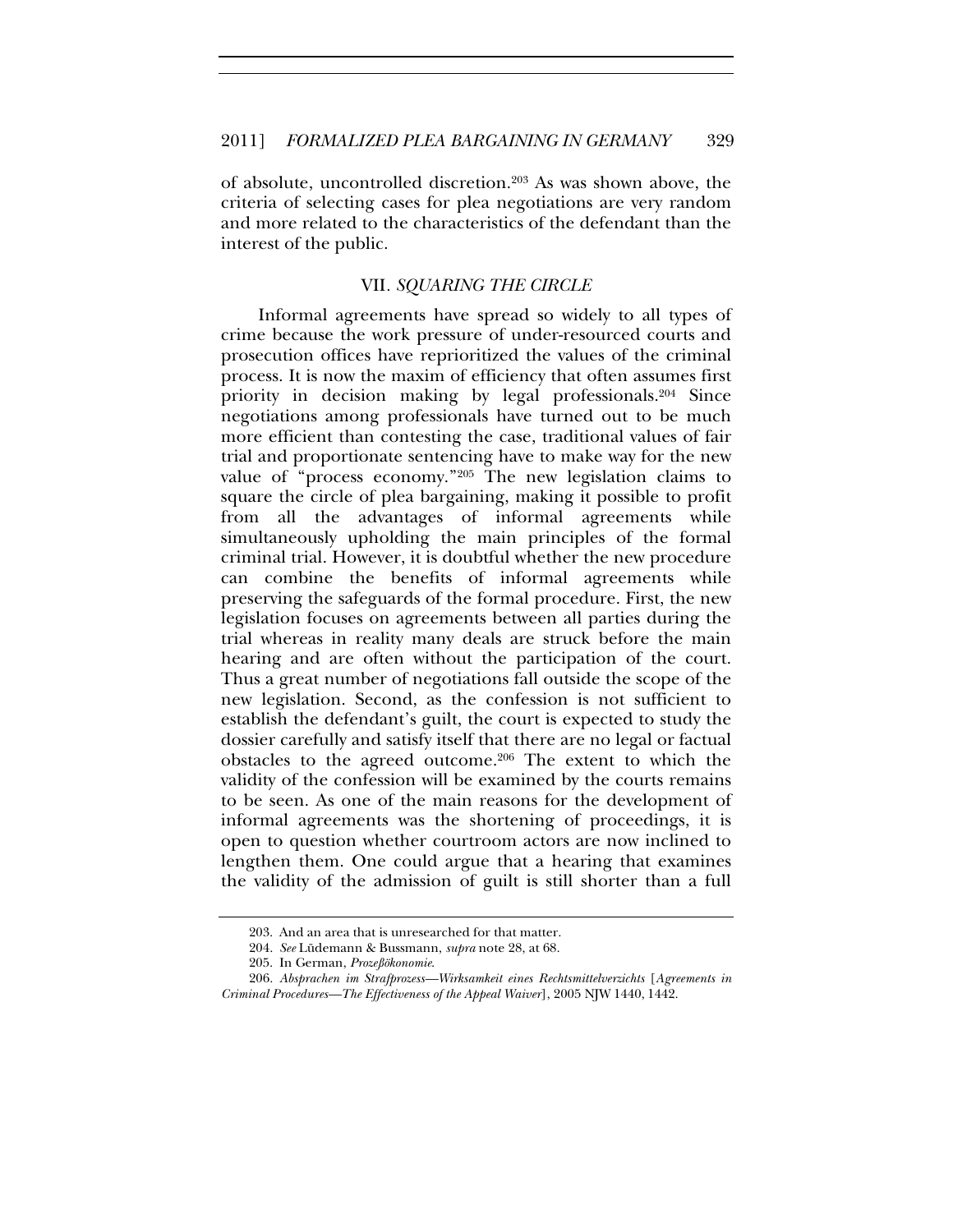of absolute, uncontrolled discretion.203 As was shown above, the criteria of selecting cases for plea negotiations are very random and more related to the characteristics of the defendant than the interest of the public.

#### VII*. SQUARING THE CIRCLE*

Informal agreements have spread so widely to all types of crime because the work pressure of under-resourced courts and prosecution offices have reprioritized the values of the criminal process. It is now the maxim of efficiency that often assumes first priority in decision making by legal professionals.204 Since negotiations among professionals have turned out to be much more efficient than contesting the case, traditional values of fair trial and proportionate sentencing have to make way for the new value of "process economy."205 The new legislation claims to square the circle of plea bargaining, making it possible to profit from all the advantages of informal agreements while simultaneously upholding the main principles of the formal criminal trial. However, it is doubtful whether the new procedure can combine the benefits of informal agreements while preserving the safeguards of the formal procedure. First, the new legislation focuses on agreements between all parties during the trial whereas in reality many deals are struck before the main hearing and are often without the participation of the court. Thus a great number of negotiations fall outside the scope of the new legislation. Second, as the confession is not sufficient to establish the defendant's guilt, the court is expected to study the dossier carefully and satisfy itself that there are no legal or factual obstacles to the agreed outcome.206 The extent to which the validity of the confession will be examined by the courts remains to be seen. As one of the main reasons for the development of informal agreements was the shortening of proceedings, it is open to question whether courtroom actors are now inclined to lengthen them. One could argue that a hearing that examines the validity of the admission of guilt is still shorter than a full

<sup>203.</sup> And an area that is unresearched for that matter.

<sup>204.</sup> *See* Lüdemann & Bussmann, *supra* note 28, at 68.

<sup>205.</sup> In German, *Prozeßökonomie*.

<sup>206.</sup> *Absprachen im Strafprozess—Wirksamkeit eines Rechtsmittelverzichts* [*Agreements in Criminal Procedures—The Effectiveness of the Appeal Waiver*], 2005 NJW 1440, 1442.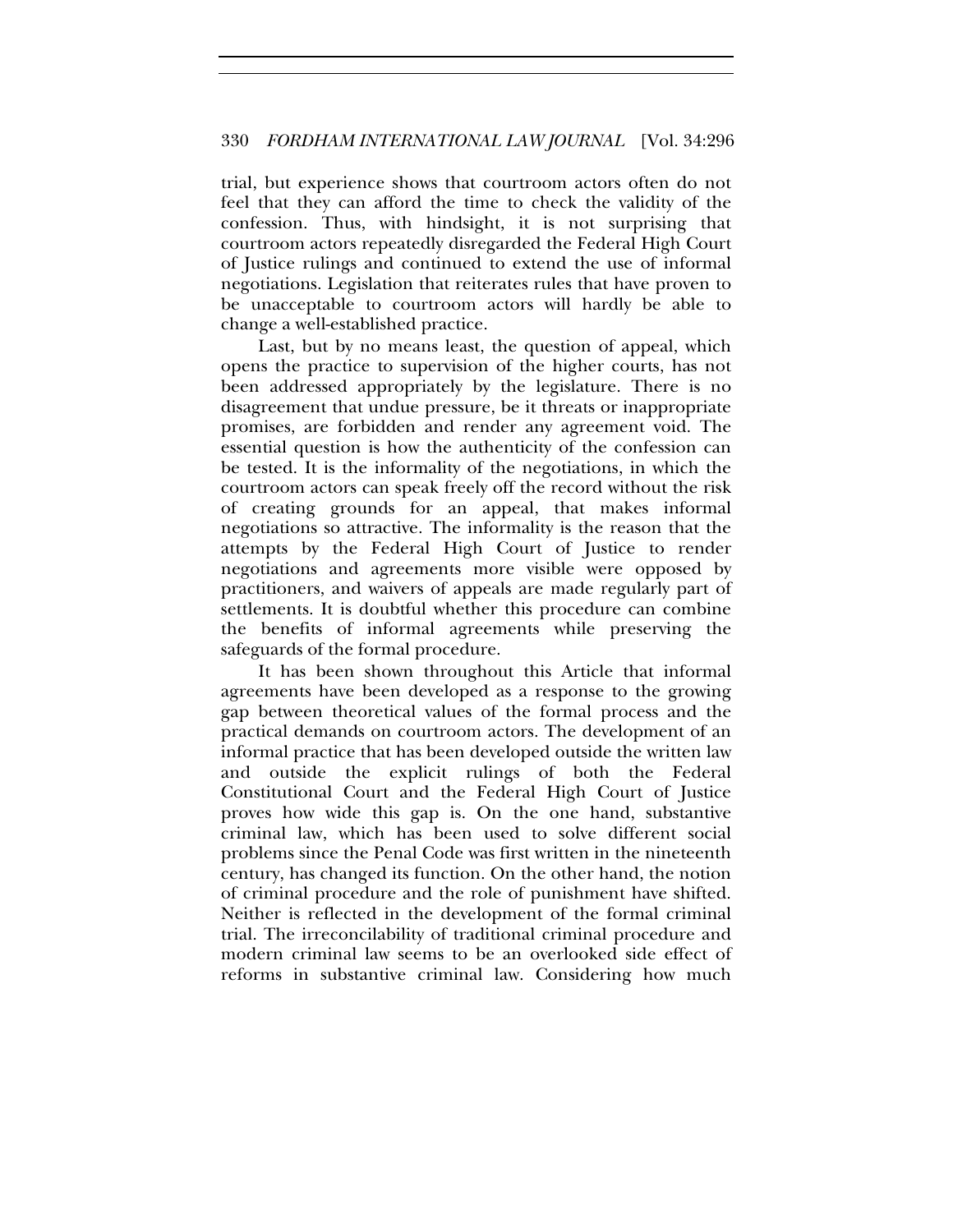trial, but experience shows that courtroom actors often do not feel that they can afford the time to check the validity of the confession. Thus, with hindsight, it is not surprising that courtroom actors repeatedly disregarded the Federal High Court of Justice rulings and continued to extend the use of informal negotiations. Legislation that reiterates rules that have proven to be unacceptable to courtroom actors will hardly be able to change a well-established practice.

Last, but by no means least, the question of appeal, which opens the practice to supervision of the higher courts, has not been addressed appropriately by the legislature. There is no disagreement that undue pressure, be it threats or inappropriate promises, are forbidden and render any agreement void. The essential question is how the authenticity of the confession can be tested. It is the informality of the negotiations, in which the courtroom actors can speak freely off the record without the risk of creating grounds for an appeal, that makes informal negotiations so attractive. The informality is the reason that the attempts by the Federal High Court of Justice to render negotiations and agreements more visible were opposed by practitioners, and waivers of appeals are made regularly part of settlements. It is doubtful whether this procedure can combine the benefits of informal agreements while preserving the safeguards of the formal procedure.

It has been shown throughout this Article that informal agreements have been developed as a response to the growing gap between theoretical values of the formal process and the practical demands on courtroom actors. The development of an informal practice that has been developed outside the written law and outside the explicit rulings of both the Federal Constitutional Court and the Federal High Court of Justice proves how wide this gap is. On the one hand, substantive criminal law, which has been used to solve different social problems since the Penal Code was first written in the nineteenth century, has changed its function. On the other hand, the notion of criminal procedure and the role of punishment have shifted. Neither is reflected in the development of the formal criminal trial. The irreconcilability of traditional criminal procedure and modern criminal law seems to be an overlooked side effect of reforms in substantive criminal law. Considering how much